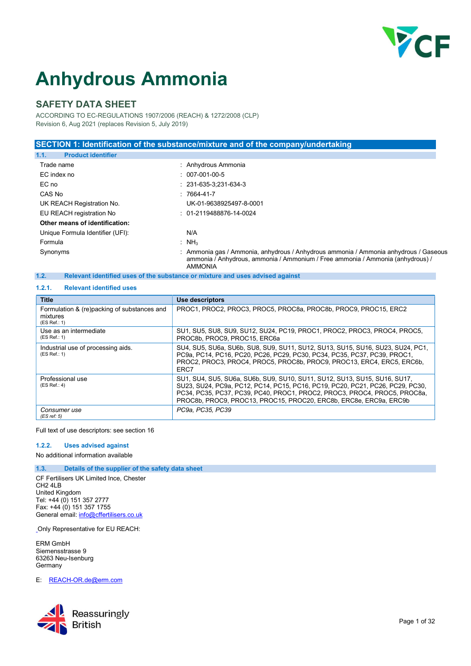

# Anhydrous Ammonia

# SAFETY DATA SHEET

ACCORDING TO EC-REGULATIONS 1907/2006 (REACH) & 1272/2008 (CLP) Revision 6, Aug 2021 (replaces Revision 5, July 2019)

### SECTION 1: Identification of the substance/mixture and of the company/undertaking

| 1.1.<br><b>Product identifier</b> |                                                                                                                                                                                          |
|-----------------------------------|------------------------------------------------------------------------------------------------------------------------------------------------------------------------------------------|
| Trade name                        | : Anhydrous Ammonia                                                                                                                                                                      |
| EC index no                       | $: 007-001-00-5$                                                                                                                                                                         |
| EC no                             | $: 231-635-3:231-634-3$                                                                                                                                                                  |
| CAS No                            | $: 7664 - 41 - 7$                                                                                                                                                                        |
| UK REACH Registration No.         | UK-01-9638925497-8-0001                                                                                                                                                                  |
| EU REACH registration No          | $: 01-2119488876-14-0024$                                                                                                                                                                |
| Other means of identification:    |                                                                                                                                                                                          |
| Unique Formula Identifier (UFI):  | N/A                                                                                                                                                                                      |
| Formula                           | : $NH3$                                                                                                                                                                                  |
| Synonyms                          | : Ammonia gas / Ammonia, anhydrous / Anhydrous ammonia / Ammonia anhydrous / Gaseous<br>ammonia / Anhydrous, ammonia / Ammonium / Free ammonia / Ammonia (anhydrous) /<br><b>AMMONIA</b> |

## 1.2. Relevant identified uses of the substance or mixture and uses advised against

## 1.2.1. Relevant identified uses

| <b>Title</b>                                                            | Use descriptors                                                                                                                                                                                                                                                                                             |
|-------------------------------------------------------------------------|-------------------------------------------------------------------------------------------------------------------------------------------------------------------------------------------------------------------------------------------------------------------------------------------------------------|
| Formulation & (re)packing of substances and<br>mixtures<br>(ES Ref.: 1) | PROC1, PROC2, PROC3, PROC5, PROC8a, PROC8b, PROC9, PROC15, ERC2                                                                                                                                                                                                                                             |
| Use as an intermediate<br>(ES Ref.: 1)                                  | SU1, SU5, SU8, SU9, SU12, SU24, PC19, PROC1, PROC2, PROC3, PROC4, PROC5,<br>PROC8b, PROC9, PROC15, ERC6a                                                                                                                                                                                                    |
| Industrial use of processing aids.<br>(ES Ref.: 1)                      | SU4, SU5, SU6a, SU6b, SU8, SU9, SU11, SU12, SU13, SU15, SU16, SU23, SU24, PC1,<br>PC9a, PC14, PC16, PC20, PC26, PC29, PC30, PC34, PC35, PC37, PC39, PROC1,<br>PROC2, PROC3, PROC4, PROC5, PROC8b, PROC9, PROC13, ERC4, ERC5, ERC6b,<br>ERC7                                                                 |
| Professional use<br>(ES Ref.: 4)                                        | SU1, SU4, SU5, SU6a, SU6b, SU9, SU10, SU11, SU12, SU13, SU15, SU16, SU17,<br>SU23, SU24, PC9a, PC12, PC14, PC15, PC16, PC19, PC20, PC21, PC26, PC29, PC30,<br>PC34, PC35, PC37, PC39, PC40, PROC1, PROC2, PROC3, PROC4, PROC5, PROC8a,<br>PROC8b, PROC9, PROC13, PROC15, PROC20, ERC8b, ERC8e, ERC9a, ERC9b |
| Consumer use<br>(ES ref: 5)                                             | PC9a, PC35, PC39                                                                                                                                                                                                                                                                                            |

Full text of use descriptors: see section 16

#### 1.2.2. Uses advised against

No additional information available

#### 1.3. Details of the supplier of the safety data sheet

CF Fertilisers UK Limited Ince, Chester CH2 4LB United Kingdom Tel: +44 (0) 151 357 2777 Fax: +44 (0) 151 357 1755 General email: info@cffertilisers.co.uk

Only Representative for EU REACH:

ERM GmbH Siemensstrasse 9 63263 Neu-Isenburg Germany

E: REACH-OR.de@erm.com

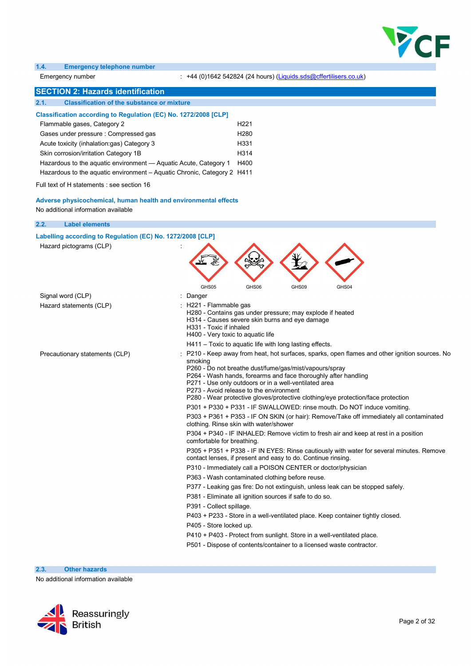

#### 1.4. Emergency telephone number

Emergency number : +44 (0)1642 542824 (24 hours) (Liquids.sds@cffertilisers.co.uk)

# **SECTION 2: Hazards identification**

| <u>ULUTIVIN 4. Hazarus tuttiitiinvalivil</u>                            |                  |  |
|-------------------------------------------------------------------------|------------------|--|
| <b>Classification of the substance or mixture</b><br>2.1.               |                  |  |
| Classification according to Regulation (EC) No. 1272/2008 [CLP]         |                  |  |
| Flammable gases, Category 2                                             | H <sub>221</sub> |  |
| Gases under pressure: Compressed gas                                    | H <sub>280</sub> |  |
| Acute toxicity (inhalation:gas) Category 3                              | H331             |  |
| Skin corrosion/irritation Category 1B                                   | H314             |  |
| Hazardous to the aguatic environment — Aguatic Acute, Category 1        | H400             |  |
| Hazardous to the aguatic environment – Aguatic Chronic, Category 2 H411 |                  |  |
|                                                                         |                  |  |

Full text of H statements : see section 16

Adverse physicochemical, human health and environmental effects No additional information available

| 2.2.<br><b>Label elements</b>                              |                                                                                                                                                                                                                                                                                                                                                                                                                             |
|------------------------------------------------------------|-----------------------------------------------------------------------------------------------------------------------------------------------------------------------------------------------------------------------------------------------------------------------------------------------------------------------------------------------------------------------------------------------------------------------------|
| Labelling according to Regulation (EC) No. 1272/2008 [CLP] |                                                                                                                                                                                                                                                                                                                                                                                                                             |
| Hazard pictograms (CLP)                                    | GHS05<br>GHS06<br>GHS09<br>GHS04                                                                                                                                                                                                                                                                                                                                                                                            |
| Signal word (CLP)                                          | : Danger                                                                                                                                                                                                                                                                                                                                                                                                                    |
| Hazard statements (CLP)                                    | H221 - Flammable gas<br>H280 - Contains gas under pressure; may explode if heated<br>H314 - Causes severe skin burns and eye damage<br>H331 - Toxic if inhaled<br>H400 - Very toxic to aquatic life                                                                                                                                                                                                                         |
|                                                            | H411 – Toxic to aquatic life with long lasting effects.                                                                                                                                                                                                                                                                                                                                                                     |
| Precautionary statements (CLP)                             | P210 - Keep away from heat, hot surfaces, sparks, open flames and other ignition sources. No<br>smoking<br>P260 - Do not breathe dust/fume/gas/mist/vapours/spray<br>P264 - Wash hands, forearms and face thoroughly after handling<br>P271 - Use only outdoors or in a well-ventilated area<br>P273 - Avoid release to the environment<br>P280 - Wear protective gloves/protective clothing/eye protection/face protection |
|                                                            | P301 + P330 + P331 - IF SWALLOWED: rinse mouth. Do NOT induce vomiting.                                                                                                                                                                                                                                                                                                                                                     |
|                                                            | P303 + P361 + P353 - IF ON SKIN (or hair): Remove/Take off immediately all contaminated<br>clothing. Rinse skin with water/shower                                                                                                                                                                                                                                                                                           |
|                                                            | P304 + P340 - IF INHALED: Remove victim to fresh air and keep at rest in a position<br>comfortable for breathing.                                                                                                                                                                                                                                                                                                           |
|                                                            | P305 + P351 + P338 - IF IN EYES: Rinse cautiously with water for several minutes. Remove<br>contact lenses, if present and easy to do. Continue rinsing.                                                                                                                                                                                                                                                                    |
|                                                            | P310 - Immediately call a POISON CENTER or doctor/physician                                                                                                                                                                                                                                                                                                                                                                 |
|                                                            | P363 - Wash contaminated clothing before reuse.                                                                                                                                                                                                                                                                                                                                                                             |
|                                                            | P377 - Leaking gas fire: Do not extinguish, unless leak can be stopped safely.                                                                                                                                                                                                                                                                                                                                              |
|                                                            | P381 - Eliminate all ignition sources if safe to do so.                                                                                                                                                                                                                                                                                                                                                                     |
|                                                            | P391 - Collect spillage.                                                                                                                                                                                                                                                                                                                                                                                                    |
|                                                            | P403 + P233 - Store in a well-ventilated place. Keep container tightly closed.                                                                                                                                                                                                                                                                                                                                              |
|                                                            | P405 - Store locked up.                                                                                                                                                                                                                                                                                                                                                                                                     |
|                                                            | P410 + P403 - Protect from sunlight. Store in a well-ventilated place.                                                                                                                                                                                                                                                                                                                                                      |
|                                                            | P501 - Dispose of contents/container to a licensed waste contractor.                                                                                                                                                                                                                                                                                                                                                        |

2.3. Other hazards

No additional information available

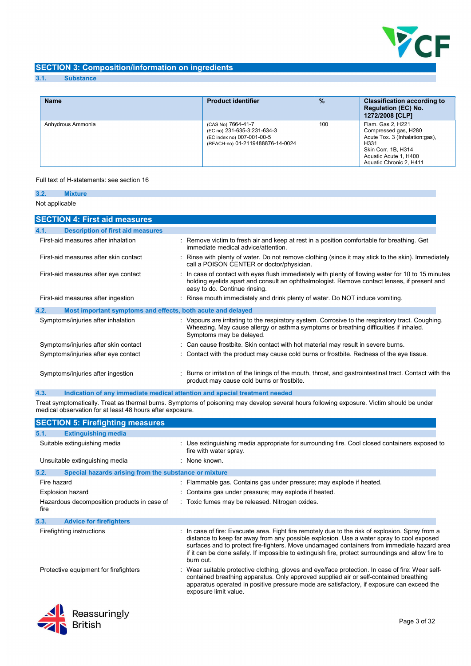

# SECTION 3: Composition/information on ingredients

#### 3.1. Substance

| <b>Name</b>       | <b>Product identifier</b>                                                                                           | $\%$ | <b>Classification according to</b><br><b>Regulation (EC) No.</b><br>1272/2008 [CLP]                                                                            |
|-------------------|---------------------------------------------------------------------------------------------------------------------|------|----------------------------------------------------------------------------------------------------------------------------------------------------------------|
| Anhydrous Ammonia | (CAS No) 7664-41-7<br>(EC no) 231-635-3;231-634-3<br>(EC index no) 007-001-00-5<br>(REACH-no) 01-2119488876-14-0024 | 100  | Flam. Gas 2, H221<br>Compressed gas, H280<br>Acute Tox. 3 (Inhalation:gas),<br>H331<br>Skin Corr. 1B, H314<br>Aquatic Acute 1, H400<br>Aquatic Chronic 2, H411 |

#### Full text of H-statements: see section 16

| 3.2. | <b>Mixture</b>                                              |                                                                                                                                                                                                                                    |
|------|-------------------------------------------------------------|------------------------------------------------------------------------------------------------------------------------------------------------------------------------------------------------------------------------------------|
|      | Not applicable                                              |                                                                                                                                                                                                                                    |
|      | <b>SECTION 4: First aid measures</b>                        |                                                                                                                                                                                                                                    |
| 4.1. | <b>Description of first aid measures</b>                    |                                                                                                                                                                                                                                    |
|      | First-aid measures after inhalation                         | : Remove victim to fresh air and keep at rest in a position comfortable for breathing. Get<br>immediate medical advice/attention                                                                                                   |
|      | First-aid measures after skin contact                       | : Rinse with plenty of water. Do not remove clothing (since it may stick to the skin). Immediately<br>call a POISON CENTER or doctor/physician.                                                                                    |
|      | First-aid measures after eye contact                        | : In case of contact with eyes flush immediately with plenty of flowing water for 10 to 15 minutes<br>holding eyelids apart and consult an ophthalmologist. Remove contact lenses, if present and<br>easy to do. Continue rinsing. |
|      | First-aid measures after ingestion                          | : Rinse mouth immediately and drink plenty of water. Do NOT induce vomiting.                                                                                                                                                       |
| 4.2. | Most important symptoms and effects, both acute and delayed |                                                                                                                                                                                                                                    |
|      | Symptoms/injuries after inhalation                          | : Vapours are irritating to the respiratory system. Corrosive to the respiratory tract. Coughing.<br>Wheezing. May cause allergy or asthma symptoms or breathing difficulties if inhaled.<br>Symptoms may be delayed.              |
|      | Symptoms/injuries after skin contact                        | : Can cause frostbite. Skin contact with hot material may result in severe burns.                                                                                                                                                  |
|      | Symptoms/injuries after eye contact                         | : Contact with the product may cause cold burns or frostbite. Redness of the eye tissue.                                                                                                                                           |
|      | Symptoms/injuries after ingestion                           | : Burns or irritation of the linings of the mouth, throat, and gastrointestinal tract. Contact with the<br>product may cause cold burns or frostbite.                                                                              |

4.3. Indication of any immediate medical attention and special treatment needed

Treat symptomatically. Treat as thermal burns. Symptoms of poisoning may develop several hours following exposure. Victim should be under medical observation for at least 48 hours after exposure.

| <b>SECTION 5: Firefighting measures</b>                       |                                                                                                                                                                                                                                                                                                                                                                                                                |
|---------------------------------------------------------------|----------------------------------------------------------------------------------------------------------------------------------------------------------------------------------------------------------------------------------------------------------------------------------------------------------------------------------------------------------------------------------------------------------------|
| 5.1.<br><b>Extinguishing media</b>                            |                                                                                                                                                                                                                                                                                                                                                                                                                |
| Suitable extinguishing media                                  | : Use extinguishing media appropriate for surrounding fire. Cool closed containers exposed to<br>fire with water spray.                                                                                                                                                                                                                                                                                        |
| Unsuitable extinguishing media                                | · None known                                                                                                                                                                                                                                                                                                                                                                                                   |
| 5.2.<br>Special hazards arising from the substance or mixture |                                                                                                                                                                                                                                                                                                                                                                                                                |
| Fire hazard                                                   | : Flammable gas. Contains gas under pressure; may explode if heated.                                                                                                                                                                                                                                                                                                                                           |
| <b>Explosion hazard</b>                                       | : Contains gas under pressure; may explode if heated.                                                                                                                                                                                                                                                                                                                                                          |
| Hazardous decomposition products in case of<br>fire           | : Toxic fumes may be released. Nitrogen oxides.                                                                                                                                                                                                                                                                                                                                                                |
| 5.3.<br><b>Advice for firefighters</b>                        |                                                                                                                                                                                                                                                                                                                                                                                                                |
| Firefighting instructions                                     | : In case of fire: Evacuate area. Fight fire remotely due to the risk of explosion. Spray from a<br>distance to keep far away from any possible explosion. Use a water spray to cool exposed<br>surfaces and to protect fire-fighters. Move undamaged containers from immediate hazard area<br>if it can be done safely. If impossible to extinguish fire, protect surroundings and allow fire to<br>burn out. |
| Protective equipment for firefighters                         | : Wear suitable protective clothing, gloves and eye/face protection. In case of fire: Wear self-<br>contained breathing apparatus. Only approved supplied air or self-contained breathing<br>apparatus operated in positive pressure mode are satisfactory, if exposure can exceed the<br>exposure limit value.                                                                                                |
| æ                                                             |                                                                                                                                                                                                                                                                                                                                                                                                                |

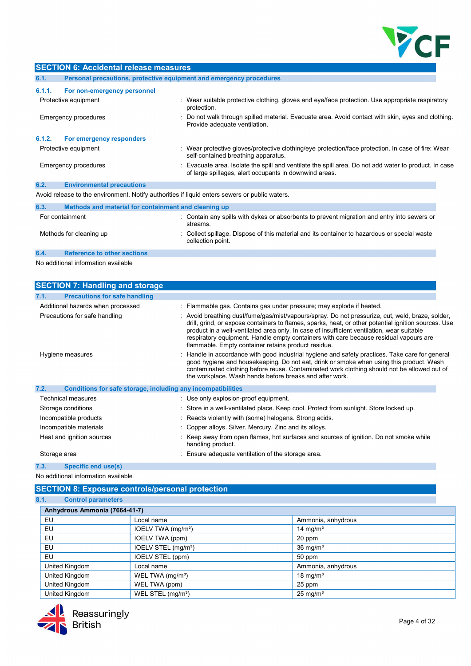

|        | <b>SECTION 6: Accidental release measures</b>                       |                                                                                                                                                                 |  |
|--------|---------------------------------------------------------------------|-----------------------------------------------------------------------------------------------------------------------------------------------------------------|--|
| 6.1.   | Personal precautions, protective equipment and emergency procedures |                                                                                                                                                                 |  |
| 6.1.1. | For non-emergency personnel                                         |                                                                                                                                                                 |  |
|        | Protective equipment                                                | : Wear suitable protective clothing, gloves and eye/face protection. Use appropriate respiratory<br>protection.                                                 |  |
|        | Emergency procedures                                                | Do not walk through spilled material. Evacuate area. Avoid contact with skin, eyes and clothing.<br>Provide adequate ventilation.                               |  |
| 6.1.2. | For emergency responders                                            |                                                                                                                                                                 |  |
|        | Protective equipment                                                | Wear protective gloves/protective clothing/eye protection/face protection. In case of fire: Wear<br>self-contained breathing apparatus.                         |  |
|        | Emergency procedures                                                | : Evacuate area. Isolate the spill and ventilate the spill area. Do not add water to product. In case<br>of large spillages, alert occupants in downwind areas. |  |
| 6.2.   | <b>Environmental precautions</b>                                    |                                                                                                                                                                 |  |
|        |                                                                     | Avoid release to the environment. Notify authorities if liquid enters sewers or public waters.                                                                  |  |
| 6.3.   | Methods and material for containment and cleaning up                |                                                                                                                                                                 |  |
|        | For containment                                                     | : Contain any spills with dykes or absorbents to prevent migration and entry into sewers or<br>streams.                                                         |  |
|        | Methods for cleaning up                                             | Collect spillage. Dispose of this material and its container to hazardous or special waste<br>collection point.                                                 |  |
| 6.4.   | <b>Reference to other sections</b>                                  |                                                                                                                                                                 |  |
|        | No additional information available                                 |                                                                                                                                                                 |  |
|        |                                                                     |                                                                                                                                                                 |  |

| <b>SECTION 7: Handling and storage</b>                                                                                    |                                                                                                                                                                                                                                                                                                                                                                                                                                                        |
|---------------------------------------------------------------------------------------------------------------------------|--------------------------------------------------------------------------------------------------------------------------------------------------------------------------------------------------------------------------------------------------------------------------------------------------------------------------------------------------------------------------------------------------------------------------------------------------------|
| <b>Precautions for safe handling</b><br>7.1.                                                                              |                                                                                                                                                                                                                                                                                                                                                                                                                                                        |
| Additional hazards when processed                                                                                         | : Flammable gas. Contains gas under pressure; may explode if heated.                                                                                                                                                                                                                                                                                                                                                                                   |
| Precautions for safe handling                                                                                             | : Avoid breathing dust/fume/gas/mist/vapours/spray. Do not pressurize, cut, weld, braze, solder,<br>drill, grind, or expose containers to flames, sparks, heat, or other potential ignition sources. Use<br>product in a well-ventilated area only. In case of insufficient ventilation, wear suitable<br>respiratory equipment. Handle empty containers with care because residual vapours are<br>flammable. Empty container retains product residue. |
| Hygiene measures                                                                                                          | : Handle in accordance with good industrial hygiene and safety practices. Take care for general<br>good hygiene and housekeeping. Do not eat, drink or smoke when using this product. Wash<br>contaminated clothing before reuse. Contaminated work clothing should not be allowed out of<br>the workplace. Wash hands before breaks and after work.                                                                                                   |
| 7.2.<br>Conditions for safe storage, including any incompatibilities                                                      |                                                                                                                                                                                                                                                                                                                                                                                                                                                        |
| Technical measures                                                                                                        | : Use only explosion-proof equipment.                                                                                                                                                                                                                                                                                                                                                                                                                  |
| Storage conditions                                                                                                        | : Store in a well-ventilated place. Keep cool. Protect from sunlight. Store locked up.                                                                                                                                                                                                                                                                                                                                                                 |
| Incompatible products                                                                                                     | : Reacts violently with (some) halogens. Strong acids.                                                                                                                                                                                                                                                                                                                                                                                                 |
| Incompatible materials                                                                                                    | : Copper alloys. Silver. Mercury. Zinc and its alloys.                                                                                                                                                                                                                                                                                                                                                                                                 |
| Heat and ignition sources                                                                                                 | : Keep away from open flames, hot surfaces and sources of ignition. Do not smoke while<br>handling product.                                                                                                                                                                                                                                                                                                                                            |
| Storage area                                                                                                              | : Ensure adequate ventilation of the storage area.                                                                                                                                                                                                                                                                                                                                                                                                     |
| $\mathcal{L}$ and $\mathcal{L}$ and $\mathcal{L}$ and $\mathcal{L}$ and $\mathcal{L}$ and $\mathcal{L}$ and $\mathcal{L}$ |                                                                                                                                                                                                                                                                                                                                                                                                                                                        |

## 7.3. Specific end use(s)

No additional information available

# SECTION 8: Exposure controls/personal protection

## 8.1. Control parameters

| Anhydrous Ammonia (7664-41-7) |                                 |                      |
|-------------------------------|---------------------------------|----------------------|
| EU                            | Local name                      | Ammonia, anhydrous   |
| EU                            | IOELV TWA (mg/m <sup>3</sup> )  | 14 mg/m $3$          |
| EU                            | IOELV TWA (ppm)                 | 20 ppm               |
| EU                            | IOELV STEL (mg/m <sup>3</sup> ) | 36 mg/m <sup>3</sup> |
| EU                            | IOELV STEL (ppm)                | 50 ppm               |
| United Kingdom                | Local name                      | Ammonia, anhydrous   |
| United Kingdom                | WEL TWA (mg/m <sup>3</sup> )    | 18 mg/ $m3$          |
| United Kingdom                | WEL TWA (ppm)                   | 25 ppm               |
| United Kingdom                | WEL STEL (mg/m <sup>3</sup> )   | $25 \text{ mg/m}^3$  |

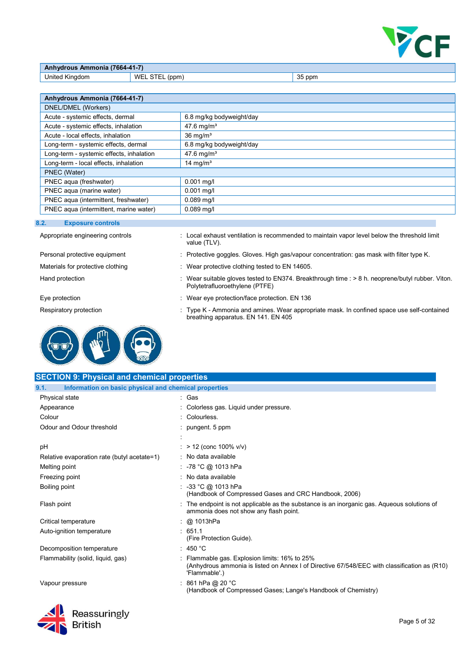

| <b>Anhydrous Ammonia (7664-41-7)</b> |                |                |  |  |
|--------------------------------------|----------------|----------------|--|--|
| United Kingdom                       | WEL STEL (ppm) | $\vert$ 35 ppm |  |  |

| Anhydrous Ammonia (7664-41-7)            |                          |  |
|------------------------------------------|--------------------------|--|
| DNEL/DMEL (Workers)                      |                          |  |
| Acute - systemic effects, dermal         | 6.8 mg/kg bodyweight/day |  |
| Acute - systemic effects, inhalation     | 47.6 mg/m <sup>3</sup>   |  |
| Acute - local effects, inhalation        | $36$ mg/m <sup>3</sup>   |  |
| Long-term - systemic effects, dermal     | 6.8 mg/kg bodyweight/day |  |
| Long-term - systemic effects, inhalation | 47.6 mg/m <sup>3</sup>   |  |
| Long-term - local effects, inhalation    | 14 mg/ $m3$              |  |
| PNEC (Water)                             |                          |  |
| PNEC aqua (freshwater)                   | $0.001$ mg/l             |  |
| PNEC aqua (marine water)                 | $0.001$ mg/l             |  |
| PNEC aqua (intermittent, freshwater)     | $0.089$ mg/l             |  |
| PNEC aqua (intermittent, marine water)   | $0.089$ mg/l             |  |

#### 8.2. Exposure controls

 $\mathbf{z}$ l



- Appropriate engineering controls : Local exhaust ventilation is recommended to maintain vapor level below the threshold limit value (TLV).
- Personal protective equipment : Protective goggles. Gloves. High gas/vapour concentration: gas mask with filter type K.
- Materials for protective clothing : Wear protective clothing tested to EN 14605.
- Hand protection : Wear suitable gloves tested to EN374. Breakthrough time : > 8 h. neoprene/butyl rubber. Viton. Polytetrafluoroethylene (PTFE)
- Eye protection **EXECUTE:** Wear eye protection/face protection. EN 136
- Respiratory protection : Type K Ammonia and amines. Wear appropriate mask. In confined space use self-contained breathing apparatus. EN 141. EN 405

| <b>SECTION 9: Physical and chemical properties</b>            |                                                                                                                                                                |  |  |
|---------------------------------------------------------------|----------------------------------------------------------------------------------------------------------------------------------------------------------------|--|--|
| Information on basic physical and chemical properties<br>9.1. |                                                                                                                                                                |  |  |
| Physical state                                                | : Gas                                                                                                                                                          |  |  |
| Appearance                                                    | Colorless gas. Liquid under pressure.                                                                                                                          |  |  |
| Colour                                                        | : Colourless.                                                                                                                                                  |  |  |
| Odour and Odour threshold                                     | : pungent. $5$ ppm                                                                                                                                             |  |  |
|                                                               |                                                                                                                                                                |  |  |
| pH                                                            | : $> 12$ (conc 100% v/v)                                                                                                                                       |  |  |
| Relative evaporation rate (butyl acetate=1)                   | : No data available                                                                                                                                            |  |  |
| Melting point                                                 | : -78 °C @ 1013 hPa                                                                                                                                            |  |  |
| Freezing point                                                | : No data available                                                                                                                                            |  |  |
| Boiling point                                                 | : -33 °C @ 1013 hPa<br>(Handbook of Compressed Gases and CRC Handbook, 2006)                                                                                   |  |  |
| Flash point                                                   | : The endpoint is not applicable as the substance is an inorganic gas. Agueous solutions of<br>ammonia does not show any flash point.                          |  |  |
| Critical temperature                                          | : @ 1013hPa                                                                                                                                                    |  |  |
| Auto-ignition temperature                                     | .651.1<br>(Fire Protection Guide).                                                                                                                             |  |  |
| Decomposition temperature                                     | $\therefore$ 450 °C                                                                                                                                            |  |  |
| Flammability (solid, liquid, gas)                             | : Flammable gas. Explosion limits: 16% to 25%<br>(Anhydrous ammonia is listed on Annex I of Directive 67/548/EEC with classification as (R10)<br>'Flammable'.) |  |  |
| Vapour pressure                                               | : 861 hPa @ 20 °C<br>(Handbook of Compressed Gases; Lange's Handbook of Chemistry)                                                                             |  |  |
| Reassuringly<br><b>British</b>                                | Page 5 of 32                                                                                                                                                   |  |  |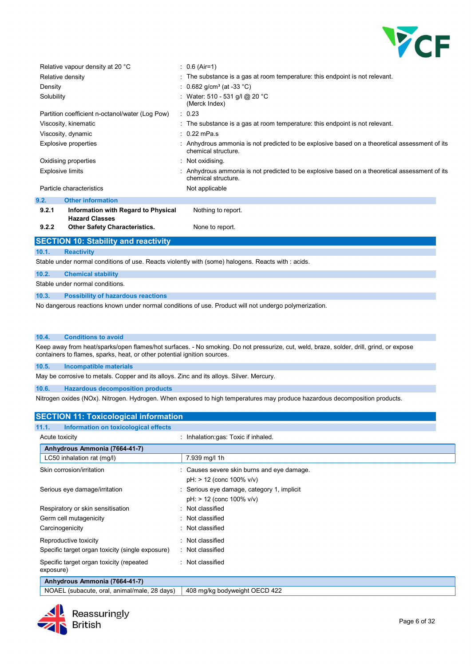

|                      | Relative vapour density at 20 °C                             | $: 0.6$ (Air=1)                                                                                                         |
|----------------------|--------------------------------------------------------------|-------------------------------------------------------------------------------------------------------------------------|
|                      | Relative density                                             | $\pm$ The substance is a gas at room temperature: this endpoint is not relevant.                                        |
| Density              |                                                              | : 0.682 g/cm <sup>3</sup> (at -33 °C)                                                                                   |
| Solubility           |                                                              | : Water: 510 - 531 g/l @ 20 °C<br>(Merck Index)                                                                         |
|                      | Partition coefficient n-octanol/water (Log Pow)              | : 0.23                                                                                                                  |
|                      | Viscosity, kinematic                                         | : The substance is a gas at room temperature: this endpoint is not relevant.                                            |
|                      | Viscosity, dynamic                                           | $\cdot$ 0.22 mPa.s                                                                                                      |
| Explosive properties |                                                              | : Anhydrous ammonia is not predicted to be explosive based on a theoretical assessment of its<br>chemical structure.    |
|                      | Oxidising properties                                         | : Not oxidising.                                                                                                        |
|                      | <b>Explosive limits</b>                                      | $\pm$ Anhydrous ammonia is not predicted to be explosive based on a theoretical assessment of its<br>chemical structure |
|                      | Particle characteristics                                     | Not applicable                                                                                                          |
| 9.2.                 | <b>Other information</b>                                     |                                                                                                                         |
| 9.2.1                | Information with Regard to Physical<br><b>Hazard Classes</b> | Nothing to report.                                                                                                      |
| 9.2.2                | <b>Other Safety Characteristics.</b>                         | None to report.                                                                                                         |
|                      | <b>SECTION 10: Stability and reactivity</b>                  |                                                                                                                         |
| 10.1.                | <b>Reactivity</b>                                            |                                                                                                                         |
|                      |                                                              | Stable under normal conditions of use. Reacts violently with (some) halogens. Reacts with : acids.                      |
| 10.2.                | <b>Chemical stability</b>                                    |                                                                                                                         |
|                      | Stable under normal conditions.                              |                                                                                                                         |
| 10.3.                | <b>Possibility of hazardous reactions</b>                    |                                                                                                                         |
|                      |                                                              |                                                                                                                         |

No dangerous reactions known under normal conditions of use. Product will not undergo polymerization.

#### 10.4. Conditions to avoid

Keep away from heat/sparks/open flames/hot surfaces. - No smoking. Do not pressurize, cut, weld, braze, solder, drill, grind, or expose containers to flames, sparks, heat, or other potential ignition sources.

#### 10.5. Incompatible materials

May be corrosive to metals. Copper and its alloys. Zinc and its alloys. Silver. Mercury.

10.6. Hazardous decomposition products

Nitrogen oxides (NOx). Nitrogen. Hydrogen. When exposed to high temperatures may produce hazardous decomposition products.

# SECTION 11: Toxicological information

| Information on toxicological effects<br>11.1.         |                                                                              |
|-------------------------------------------------------|------------------------------------------------------------------------------|
| Acute toxicity                                        | : Inhalation:gas: Toxic if inhaled.                                          |
| Anhydrous Ammonia (7664-41-7)                         |                                                                              |
| LC50 inhalation rat (mg/l)                            | 7.939 mg/l 1h                                                                |
| Skin corrosion/irritation                             | : Causes severe skin burns and eye damage.<br>$pH$ : > 12 (conc 100% $v/v$ ) |
| Serious eye damage/irritation                         | : Serious eye damage, category 1, implicit<br>$pH$ : > 12 (conc 100% $v/v$ ) |
| Respiratory or skin sensitisation                     | : Not classified                                                             |
| Germ cell mutagenicity                                | : Not classified                                                             |
| Carcinogenicity                                       | : Not classified                                                             |
| Reproductive toxicity                                 | : Not classified                                                             |
| Specific target organ toxicity (single exposure)      | : Not classified                                                             |
| Specific target organ toxicity (repeated<br>exposure) | : Not classified                                                             |
| Anhydrous Ammonia (7664-41-7)                         |                                                                              |
|                                                       | $\sim$ $\sim$ $\sim$                                                         |

NOAEL (subacute, oral, animal/male, 28 days) | 408 mg/kg bodyweight OECD 422

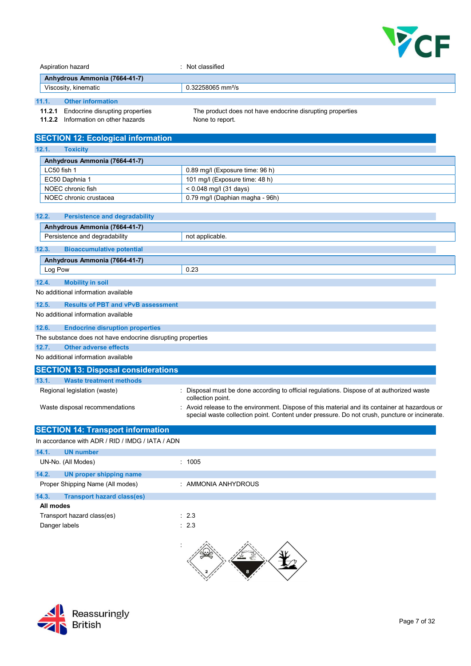

| Aspiration hazard<br>Anhydrous Ammonia (7664-41-7) |               |                                                                | : Not classified                                                                                                                                                                              |  |
|----------------------------------------------------|---------------|----------------------------------------------------------------|-----------------------------------------------------------------------------------------------------------------------------------------------------------------------------------------------|--|
|                                                    |               |                                                                |                                                                                                                                                                                               |  |
|                                                    |               | Viscosity, kinematic                                           | 0.32258065 mm <sup>2</sup> /s                                                                                                                                                                 |  |
| 11.1.<br><b>Other information</b>                  |               |                                                                |                                                                                                                                                                                               |  |
|                                                    | 11.2.1        | Endocrine disrupting properties                                | The product does not have endocrine disrupting properties                                                                                                                                     |  |
|                                                    |               | 11.2.2 Information on other hazards                            | None to report.                                                                                                                                                                               |  |
|                                                    |               |                                                                |                                                                                                                                                                                               |  |
|                                                    |               | <b>SECTION 12: Ecological information</b>                      |                                                                                                                                                                                               |  |
| 12.1.                                              |               | <b>Toxicity</b>                                                |                                                                                                                                                                                               |  |
|                                                    |               | Anhydrous Ammonia (7664-41-7)                                  |                                                                                                                                                                                               |  |
|                                                    | LC50 fish 1   |                                                                | 0.89 mg/l (Exposure time: 96 h)                                                                                                                                                               |  |
|                                                    |               | EC50 Daphnia 1                                                 | 101 mg/l (Exposure time: 48 h)                                                                                                                                                                |  |
|                                                    |               | NOEC chronic fish<br>NOEC chronic crustacea                    | < 0.048 mg/l (31 days)<br>0.79 mg/l (Daphian magha - 96h)                                                                                                                                     |  |
|                                                    |               |                                                                |                                                                                                                                                                                               |  |
| 12.2.                                              |               | <b>Persistence and degradability</b>                           |                                                                                                                                                                                               |  |
|                                                    |               | Anhydrous Ammonia (7664-41-7)                                  |                                                                                                                                                                                               |  |
|                                                    |               | Persistence and degradability                                  | not applicable.                                                                                                                                                                               |  |
|                                                    | 12.3.         | <b>Bioaccumulative potential</b>                               |                                                                                                                                                                                               |  |
|                                                    |               | Anhydrous Ammonia (7664-41-7)                                  |                                                                                                                                                                                               |  |
|                                                    | Log Pow       |                                                                | 0.23                                                                                                                                                                                          |  |
|                                                    |               |                                                                |                                                                                                                                                                                               |  |
| 12.4.                                              |               | <b>Mobility in soil</b><br>No additional information available |                                                                                                                                                                                               |  |
|                                                    |               |                                                                |                                                                                                                                                                                               |  |
| 12.5.                                              |               | <b>Results of PBT and vPvB assessment</b>                      |                                                                                                                                                                                               |  |
|                                                    |               | No additional information available                            |                                                                                                                                                                                               |  |
| 12.6.                                              |               | <b>Endocrine disruption properties</b>                         |                                                                                                                                                                                               |  |
|                                                    |               | The substance does not have endocrine disrupting properties    |                                                                                                                                                                                               |  |
| 12.7.<br><b>Other adverse effects</b>              |               |                                                                |                                                                                                                                                                                               |  |
|                                                    |               | No additional information available                            |                                                                                                                                                                                               |  |
|                                                    |               | <b>SECTION 13: Disposal considerations</b>                     |                                                                                                                                                                                               |  |
|                                                    | 13.1.         | <b>Waste treatment methods</b>                                 |                                                                                                                                                                                               |  |
|                                                    |               | Regional legislation (waste)                                   | Disposal must be done according to official regulations. Dispose of at authorized waste<br>collection point.                                                                                  |  |
| Waste disposal recommendations                     |               |                                                                | Avoid release to the environment. Dispose of this material and its container at hazardous or<br>special waste collection point. Content under pressure. Do not crush, puncture or incinerate. |  |
|                                                    |               | <b>SECTION 14: Transport information</b>                       |                                                                                                                                                                                               |  |
|                                                    |               | In accordance with ADR / RID / IMDG / IATA / ADN               |                                                                                                                                                                                               |  |
| 14.1.                                              |               | <b>UN number</b>                                               |                                                                                                                                                                                               |  |
|                                                    |               | UN-No. (All Modes)                                             | : 1005                                                                                                                                                                                        |  |
| 14.2.                                              |               | <b>UN proper shipping name</b>                                 |                                                                                                                                                                                               |  |
|                                                    |               | Proper Shipping Name (All modes)                               | : AMMONIA ANHYDROUS                                                                                                                                                                           |  |
|                                                    | 14.3.         | <b>Transport hazard class(es)</b>                              |                                                                                                                                                                                               |  |
|                                                    | All modes     |                                                                |                                                                                                                                                                                               |  |
|                                                    |               | Transport hazard class(es)                                     | : 2.3                                                                                                                                                                                         |  |
|                                                    | Danger labels |                                                                | : 2.3                                                                                                                                                                                         |  |
|                                                    |               |                                                                |                                                                                                                                                                                               |  |

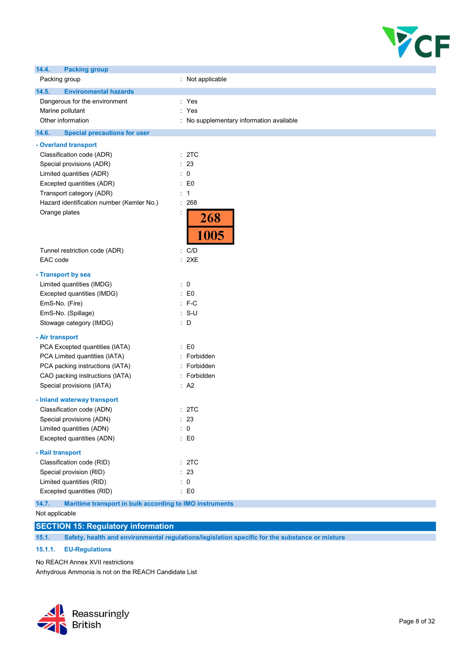

| 14.4.<br><b>Packing group</b>                                    |                                          |
|------------------------------------------------------------------|------------------------------------------|
| Packing group                                                    | : Not applicable                         |
| 14.5.<br><b>Environmental hazards</b>                            |                                          |
| Dangerous for the environment                                    | : Yes                                    |
| Marine pollutant                                                 | : Yes                                    |
| Other information                                                | : No supplementary information available |
| 14.6.<br><b>Special precautions for user</b>                     |                                          |
| - Overland transport                                             |                                          |
| Classification code (ADR)                                        | : 2TC                                    |
| Special provisions (ADR)                                         | : 23                                     |
| Limited quantities (ADR)                                         | : 0                                      |
| Excepted quantities (ADR)                                        | $\therefore$ EO                          |
| Transport category (ADR)                                         | : 1                                      |
| Hazard identification number (Kemler No.)                        | : 268                                    |
| Orange plates                                                    | 268<br>1005                              |
| Tunnel restriction code (ADR)                                    | : C/D                                    |
| EAC code                                                         | : 2XE                                    |
| - Transport by sea                                               |                                          |
| Limited quantities (IMDG)                                        | $\therefore$ 0                           |
| Excepted quantities (IMDG)                                       | $\pm 50$                                 |
| EmS-No. (Fire)                                                   | $: F-C$                                  |
| EmS-No. (Spillage)                                               | $: S-U$                                  |
| Stowage category (IMDG)                                          | : D                                      |
| - Air transport                                                  |                                          |
| PCA Excepted quantities (IATA)                                   | $\pm 50$                                 |
| PCA Limited quantities (IATA)                                    | : Forbidden                              |
| PCA packing instructions (IATA)                                  | : Forbidden                              |
| CAO packing instructions (IATA)                                  | : Forbidden                              |
| Special provisions (IATA)                                        | : A2                                     |
| - Inland waterway transport                                      |                                          |
| Classification code (ADN)                                        | :2TC                                     |
| Special provisions (ADN)                                         | 23                                       |
| Limited quantities (ADN)                                         | : 0                                      |
| Excepted quantities (ADN)                                        | : E0                                     |
| - Rail transport                                                 |                                          |
| Classification code (RID)                                        | : 2TC                                    |
| Special provision (RID)                                          | : 23                                     |
| Limited quantities (RID)                                         | $\therefore$ 0                           |
| Excepted quantities (RID)                                        | $\colon$ E0                              |
| 14.7.<br>Maritime transport in bulk according to IMO instruments |                                          |

Not applicable

# SECTION 15: Regulatory information

15.1. Safety, health and environmental regulations/legislation specific for the substance or mixture

## 15.1.1. EU-Regulations

No REACH Annex XVII restrictions

Anhydrous Ammonia is not on the REACH Candidate List

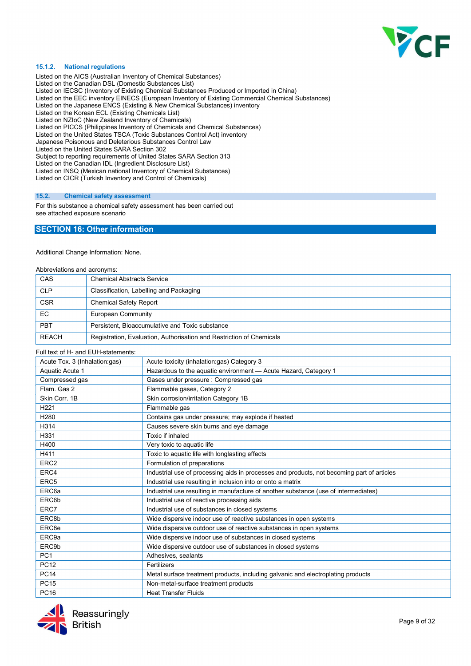

#### 15.1.2. National regulations

Listed on the AICS (Australian Inventory of Chemical Substances) Listed on the Canadian DSL (Domestic Substances List) Listed on IECSC (Inventory of Existing Chemical Substances Produced or Imported in China) Listed on the EEC inventory EINECS (European Inventory of Existing Commercial Chemical Substances) Listed on the Japanese ENCS (Existing & New Chemical Substances) inventory Listed on the Korean ECL (Existing Chemicals List) Listed on NZIoC (New Zealand Inventory of Chemicals) Listed on PICCS (Philippines Inventory of Chemicals and Chemical Substances) Listed on the United States TSCA (Toxic Substances Control Act) inventory Japanese Poisonous and Deleterious Substances Control Law Listed on the United States SARA Section 302 Subject to reporting requirements of United States SARA Section 313 Listed on the Canadian IDL (Ingredient Disclosure List) Listed on INSQ (Mexican national Inventory of Chemical Substances) Listed on CICR (Turkish Inventory and Control of Chemicals)

#### 15.2. Chemical safety assessment

For this substance a chemical safety assessment has been carried out see attached exposure scenario

### SECTION 16: Other information

Additional Change Information: None.

| Abbreviations and acronyms: |                                                                      |  |
|-----------------------------|----------------------------------------------------------------------|--|
| CAS                         | <b>Chemical Abstracts Service</b>                                    |  |
| <b>CLP</b>                  | Classification, Labelling and Packaging                              |  |
| <b>CSR</b>                  | <b>Chemical Safety Report</b>                                        |  |
| EC                          | <b>European Community</b>                                            |  |
| PBT                         | Persistent, Bioaccumulative and Toxic substance                      |  |
| <b>REACH</b>                | Registration, Evaluation, Authorisation and Restriction of Chemicals |  |

#### Full text of H- and EUH-statements:

| Acute Tox. 3 (Inhalation:gas)<br>Acute toxicity (inhalation:gas) Category 3 |                                                                                            |  |
|-----------------------------------------------------------------------------|--------------------------------------------------------------------------------------------|--|
| Aquatic Acute 1                                                             | Hazardous to the aquatic environment - Acute Hazard, Category 1                            |  |
| Compressed gas                                                              | Gases under pressure : Compressed gas                                                      |  |
| Flam, Gas 2                                                                 | Flammable gases, Category 2                                                                |  |
| Skin Corr. 1B                                                               | Skin corrosion/irritation Category 1B                                                      |  |
| H <sub>221</sub>                                                            | Flammable gas                                                                              |  |
| H280                                                                        | Contains gas under pressure; may explode if heated                                         |  |
| H314                                                                        | Causes severe skin burns and eye damage                                                    |  |
| H331                                                                        | Toxic if inhaled                                                                           |  |
| H400                                                                        | Very toxic to aquatic life                                                                 |  |
| H411                                                                        | Toxic to aquatic life with longlasting effects                                             |  |
| ERC <sub>2</sub>                                                            | Formulation of preparations                                                                |  |
| ERC4                                                                        | Industrial use of processing aids in processes and products, not becoming part of articles |  |
| ERC <sub>5</sub>                                                            | Industrial use resulting in inclusion into or onto a matrix                                |  |
| ERC <sub>6a</sub>                                                           | Industrial use resulting in manufacture of another substance (use of intermediates)        |  |
| ERC6b                                                                       | Industrial use of reactive processing aids                                                 |  |
| ERC7                                                                        | Industrial use of substances in closed systems                                             |  |
| ERC8b                                                                       | Wide dispersive indoor use of reactive substances in open systems                          |  |
| ERC8e                                                                       | Wide dispersive outdoor use of reactive substances in open systems                         |  |
| ERC9a                                                                       | Wide dispersive indoor use of substances in closed systems                                 |  |
| ERC9b                                                                       | Wide dispersive outdoor use of substances in closed systems                                |  |
| PC <sub>1</sub>                                                             | Adhesives, sealants                                                                        |  |
| <b>PC12</b>                                                                 | Fertilizers                                                                                |  |
| <b>PC14</b>                                                                 | Metal surface treatment products, including galvanic and electroplating products           |  |
| <b>PC15</b>                                                                 | Non-metal-surface treatment products                                                       |  |
| <b>PC16</b>                                                                 | <b>Heat Transfer Fluids</b>                                                                |  |

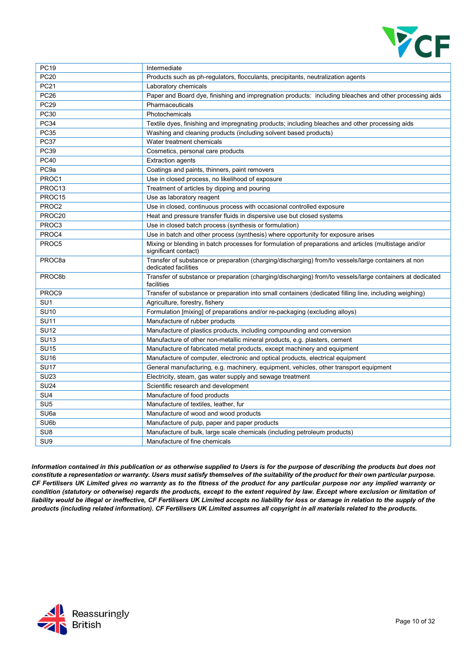

| <b>PC20</b><br>Products such as ph-regulators, flocculants, precipitants, neutralization agents<br><b>PC21</b><br>Laboratory chemicals<br><b>PC26</b><br>Paper and Board dye, finishing and impregnation products: including bleaches and other processing aids<br><b>PC29</b><br>Pharmaceuticals<br>PC30<br>Photochemicals<br><b>PC34</b><br>Textile dyes, finishing and impregnating products; including bleaches and other processing aids<br><b>PC35</b><br>Washing and cleaning products (including solvent based products) |
|----------------------------------------------------------------------------------------------------------------------------------------------------------------------------------------------------------------------------------------------------------------------------------------------------------------------------------------------------------------------------------------------------------------------------------------------------------------------------------------------------------------------------------|
|                                                                                                                                                                                                                                                                                                                                                                                                                                                                                                                                  |
|                                                                                                                                                                                                                                                                                                                                                                                                                                                                                                                                  |
|                                                                                                                                                                                                                                                                                                                                                                                                                                                                                                                                  |
|                                                                                                                                                                                                                                                                                                                                                                                                                                                                                                                                  |
|                                                                                                                                                                                                                                                                                                                                                                                                                                                                                                                                  |
|                                                                                                                                                                                                                                                                                                                                                                                                                                                                                                                                  |
|                                                                                                                                                                                                                                                                                                                                                                                                                                                                                                                                  |
| <b>PC37</b><br>Water treatment chemicals                                                                                                                                                                                                                                                                                                                                                                                                                                                                                         |
| <b>PC39</b><br>Cosmetics, personal care products                                                                                                                                                                                                                                                                                                                                                                                                                                                                                 |
| <b>PC40</b><br><b>Extraction agents</b>                                                                                                                                                                                                                                                                                                                                                                                                                                                                                          |
| PC <sub>9a</sub><br>Coatings and paints, thinners, paint removers                                                                                                                                                                                                                                                                                                                                                                                                                                                                |
| PROC1<br>Use in closed process, no likelihood of exposure                                                                                                                                                                                                                                                                                                                                                                                                                                                                        |
| PROC13<br>Treatment of articles by dipping and pouring                                                                                                                                                                                                                                                                                                                                                                                                                                                                           |
| PROC15<br>Use as laboratory reagent                                                                                                                                                                                                                                                                                                                                                                                                                                                                                              |
| PROC2<br>Use in closed, continuous process with occasional controlled exposure                                                                                                                                                                                                                                                                                                                                                                                                                                                   |
| PROC20<br>Heat and pressure transfer fluids in dispersive use but closed systems                                                                                                                                                                                                                                                                                                                                                                                                                                                 |
| PROC3<br>Use in closed batch process (synthesis or formulation)                                                                                                                                                                                                                                                                                                                                                                                                                                                                  |
| PROC4<br>Use in batch and other process (synthesis) where opportunity for exposure arises                                                                                                                                                                                                                                                                                                                                                                                                                                        |
| PROC5<br>Mixing or blending in batch processes for formulation of preparations and articles (multistage and/or<br>significant contact)                                                                                                                                                                                                                                                                                                                                                                                           |
| PROC <sub>8a</sub><br>Transfer of substance or preparation (charging/discharging) from/to vessels/large containers at non<br>dedicated facilities                                                                                                                                                                                                                                                                                                                                                                                |
| PROC8b<br>Transfer of substance or preparation (charging/discharging) from/to vessels/large containers at dedicated<br>facilities                                                                                                                                                                                                                                                                                                                                                                                                |
| PROC9<br>Transfer of substance or preparation into small containers (dedicated filling line, including weighing)                                                                                                                                                                                                                                                                                                                                                                                                                 |
| SU <sub>1</sub><br>Agriculture, forestry, fishery                                                                                                                                                                                                                                                                                                                                                                                                                                                                                |
| <b>SU10</b><br>Formulation [mixing] of preparations and/or re-packaging (excluding alloys)                                                                                                                                                                                                                                                                                                                                                                                                                                       |
| <b>SU11</b><br>Manufacture of rubber products                                                                                                                                                                                                                                                                                                                                                                                                                                                                                    |
| <b>SU12</b><br>Manufacture of plastics products, including compounding and conversion                                                                                                                                                                                                                                                                                                                                                                                                                                            |
| <b>SU13</b><br>Manufacture of other non-metallic mineral products, e.g. plasters, cement                                                                                                                                                                                                                                                                                                                                                                                                                                         |
| <b>SU15</b><br>Manufacture of fabricated metal products, except machinery and equipment                                                                                                                                                                                                                                                                                                                                                                                                                                          |
| <b>SU16</b><br>Manufacture of computer, electronic and optical products, electrical equipment                                                                                                                                                                                                                                                                                                                                                                                                                                    |
| <b>SU17</b><br>General manufacturing, e.g. machinery, equipment, vehicles, other transport equipment                                                                                                                                                                                                                                                                                                                                                                                                                             |
| SU <sub>23</sub><br>Electricity, steam, gas water supply and sewage treatment                                                                                                                                                                                                                                                                                                                                                                                                                                                    |
| <b>SU24</b><br>Scientific research and development                                                                                                                                                                                                                                                                                                                                                                                                                                                                               |
| SU <sub>4</sub><br>Manufacture of food products                                                                                                                                                                                                                                                                                                                                                                                                                                                                                  |
| SU <sub>5</sub><br>Manufacture of textiles, leather, fur                                                                                                                                                                                                                                                                                                                                                                                                                                                                         |
| SU <sub>6a</sub><br>Manufacture of wood and wood products                                                                                                                                                                                                                                                                                                                                                                                                                                                                        |
| SU6b<br>Manufacture of pulp, paper and paper products                                                                                                                                                                                                                                                                                                                                                                                                                                                                            |
| SU <sub>8</sub><br>Manufacture of bulk, large scale chemicals (including petroleum products)                                                                                                                                                                                                                                                                                                                                                                                                                                     |
| SU9<br>Manufacture of fine chemicals                                                                                                                                                                                                                                                                                                                                                                                                                                                                                             |

Information contained in this publication or as otherwise supplied to Users is for the purpose of describing the products but does not constitute a representation or warranty. Users must satisfy themselves of the suitability of the product for their own particular purpose. CF Fertilisers UK Limited gives no warranty as to the fitness of the product for any particular purpose nor any implied warranty or condition (statutory or otherwise) regards the products, except to the extent required by law. Except where exclusion or limitation of liability would be illegal or ineffective, CF Fertilisers UK Limited accepts no liability for loss or damage in relation to the supply of the products (including related information). CF Fertilisers UK Limited assumes all copyright in all materials related to the products.

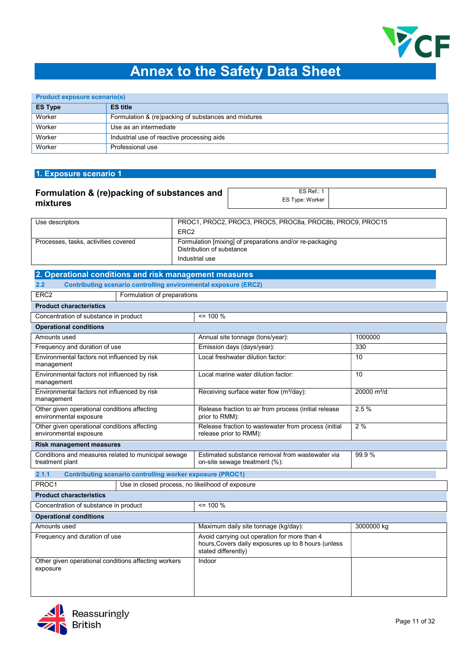

# Annex to the Safety Data Sheet

| <b>Product exposure scenario(s)</b> |                                                      |  |
|-------------------------------------|------------------------------------------------------|--|
| <b>ES Type</b>                      | <b>ES title</b>                                      |  |
| Worker                              | Formulation & (re)packing of substances and mixtures |  |
| Worker                              | Use as an intermediate                               |  |
| Worker                              | Industrial use of reactive processing aids           |  |
| Worker                              | Professional use                                     |  |

## 1. Exposure scenario 1

#### Formulation & (re)packing of substances and mixtures ES Ref.: 1 ES Type: Worker

| Use descriptors                      | PROC1, PROC2, PROC3, PROC5, PROC8a, PROC8b, PROC9, PROC15<br>ERC <sub>2</sub>         |  |
|--------------------------------------|---------------------------------------------------------------------------------------|--|
| Processes, tasks, activities covered | Formulation [mixing] of preparations and/or re-packaging<br>Distribution of substance |  |
|                                      | Industrial use                                                                        |  |

# 2. Operational conditions and risk management measures

#### 2.2 Contributing scenario controlling environmental exposure (ERC2)

|                                                                        | <u>UUIIIIINUUIIN SUUIIUIIU UUIIIUMIIN UITTIUUIIIIUI UAPUSUIU (LIVUL)</u> |                                                                                                                            |                         |
|------------------------------------------------------------------------|--------------------------------------------------------------------------|----------------------------------------------------------------------------------------------------------------------------|-------------------------|
| ERC <sub>2</sub><br>Formulation of preparations                        |                                                                          |                                                                                                                            |                         |
| <b>Product characteristics</b>                                         |                                                                          |                                                                                                                            |                         |
| Concentration of substance in product                                  |                                                                          | $= 100 \%$                                                                                                                 |                         |
| <b>Operational conditions</b>                                          |                                                                          |                                                                                                                            |                         |
| Amounts used                                                           |                                                                          | Annual site tonnage (tons/year):                                                                                           | 1000000                 |
| Frequency and duration of use                                          |                                                                          | Emission days (days/year):                                                                                                 | 330                     |
| Environmental factors not influenced by risk<br>management             |                                                                          | Local freshwater dilution factor:                                                                                          | 10                      |
| Environmental factors not influenced by risk<br>management             |                                                                          | Local marine water dilution factor:                                                                                        | 10                      |
| Environmental factors not influenced by risk<br>management             |                                                                          | Receiving surface water flow (m <sup>3</sup> /day):                                                                        | 20000 m <sup>3</sup> /d |
| Other given operational conditions affecting<br>environmental exposure |                                                                          | Release fraction to air from process (initial release<br>prior to RMM):                                                    | 2.5%                    |
| Other given operational conditions affecting<br>environmental exposure |                                                                          | Release fraction to wastewater from process (initial<br>release prior to RMM):                                             | 2%                      |
| <b>Risk management measures</b>                                        |                                                                          |                                                                                                                            |                         |
| Conditions and measures related to municipal sewage<br>treatment plant |                                                                          | Estimated substance removal from wastewater via<br>on-site sewage treatment (%):                                           | 99.9%                   |
| 2.1.1                                                                  | <b>Contributing scenario controlling worker exposure (PROC1)</b>         |                                                                                                                            |                         |
| PROC1                                                                  | Use in closed process, no likelihood of exposure                         |                                                                                                                            |                         |
| <b>Product characteristics</b>                                         |                                                                          |                                                                                                                            |                         |
| Concentration of substance in product                                  |                                                                          | $= 100 \%$                                                                                                                 |                         |
| <b>Operational conditions</b>                                          |                                                                          |                                                                                                                            |                         |
| Amounts used                                                           |                                                                          | Maximum daily site tonnage (kg/day):                                                                                       | 3000000 kg              |
| Frequency and duration of use                                          |                                                                          | Avoid carrying out operation for more than 4<br>hours, Covers daily exposures up to 8 hours (unless<br>stated differently) |                         |
| Other given operational conditions affecting workers<br>exposure       |                                                                          | Indoor                                                                                                                     |                         |

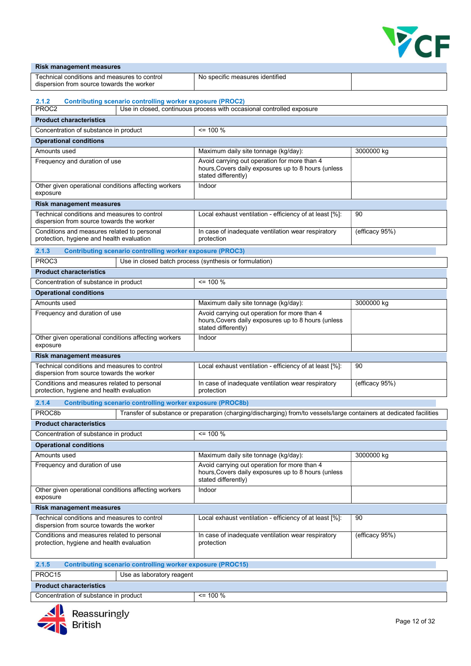

| <b>Risk management measures</b>                                                           |                                                                                                                            |                |  |  |
|-------------------------------------------------------------------------------------------|----------------------------------------------------------------------------------------------------------------------------|----------------|--|--|
| Technical conditions and measures to control                                              | No specific measures identified                                                                                            |                |  |  |
| dispersion from source towards the worker                                                 |                                                                                                                            |                |  |  |
| <b>Contributing scenario controlling worker exposure (PROC2)</b><br>2.1.2                 |                                                                                                                            |                |  |  |
| PROC2                                                                                     | Use in closed, continuous process with occasional controlled exposure                                                      |                |  |  |
| <b>Product characteristics</b>                                                            |                                                                                                                            |                |  |  |
| Concentration of substance in product                                                     | $\leq$ 100 %                                                                                                               |                |  |  |
| <b>Operational conditions</b>                                                             |                                                                                                                            |                |  |  |
| Amounts used                                                                              | Maximum daily site tonnage (kg/day):                                                                                       | 3000000 kg     |  |  |
| Frequency and duration of use                                                             | Avoid carrying out operation for more than 4                                                                               |                |  |  |
|                                                                                           | hours, Covers daily exposures up to 8 hours (unless<br>stated differently)                                                 |                |  |  |
| Other given operational conditions affecting workers<br>exposure                          | Indoor                                                                                                                     |                |  |  |
| <b>Risk management measures</b>                                                           |                                                                                                                            |                |  |  |
| Technical conditions and measures to control<br>dispersion from source towards the worker | Local exhaust ventilation - efficiency of at least [%]:                                                                    | 90             |  |  |
| Conditions and measures related to personal<br>protection, hygiene and health evaluation  | In case of inadequate ventilation wear respiratory<br>protection                                                           | (efficacy 95%) |  |  |
| 2.1.3<br><b>Contributing scenario controlling worker exposure (PROC3)</b>                 |                                                                                                                            |                |  |  |
| PROC3                                                                                     | Use in closed batch process (synthesis or formulation)                                                                     |                |  |  |
| <b>Product characteristics</b>                                                            |                                                                                                                            |                |  |  |
| Concentration of substance in product                                                     | $\leq$ 100 %                                                                                                               |                |  |  |
| <b>Operational conditions</b>                                                             |                                                                                                                            |                |  |  |
| Amounts used                                                                              | Maximum daily site tonnage (kg/day):                                                                                       | 3000000 kg     |  |  |
|                                                                                           | Avoid carrying out operation for more than 4                                                                               |                |  |  |
| Frequency and duration of use                                                             | hours, Covers daily exposures up to 8 hours (unless<br>stated differently)                                                 |                |  |  |
| Other given operational conditions affecting workers<br>exposure                          | Indoor                                                                                                                     |                |  |  |
| <b>Risk management measures</b>                                                           |                                                                                                                            |                |  |  |
| Technical conditions and measures to control<br>dispersion from source towards the worker | Local exhaust ventilation - efficiency of at least [%]:                                                                    | 90             |  |  |
| Conditions and measures related to personal<br>protection, hygiene and health evaluation  | In case of inadequate ventilation wear respiratory<br>protection                                                           | (efficacy 95%) |  |  |
| 2.1.4<br><b>Contributing scenario controlling worker exposure (PROC8b)</b>                |                                                                                                                            |                |  |  |
| PROC8b                                                                                    | Transfer of substance or preparation (charging/discharging) from/to vessels/large containers at dedicated facilities       |                |  |  |
| <b>Product characteristics</b>                                                            |                                                                                                                            |                |  |  |
| Concentration of substance in product                                                     | $= 100 %$                                                                                                                  |                |  |  |
| <b>Operational conditions</b>                                                             |                                                                                                                            |                |  |  |
| Amounts used                                                                              | Maximum daily site tonnage (kg/day):                                                                                       | 3000000 kg     |  |  |
| Frequency and duration of use                                                             | Avoid carrying out operation for more than 4<br>hours, Covers daily exposures up to 8 hours (unless<br>stated differently) |                |  |  |
| Other given operational conditions affecting workers<br>exposure                          | Indoor                                                                                                                     |                |  |  |
| <b>Risk management measures</b>                                                           |                                                                                                                            |                |  |  |
| Technical conditions and measures to control<br>dispersion from source towards the worker | Local exhaust ventilation - efficiency of at least [%]:                                                                    | 90             |  |  |
| Conditions and measures related to personal<br>protection, hygiene and health evaluation  | In case of inadequate ventilation wear respiratory<br>protection                                                           | (efficacy 95%) |  |  |
| 2.1.5<br><b>Contributing scenario controlling worker exposure (PROC15)</b>                |                                                                                                                            |                |  |  |
| PROC15<br>Use as laboratory reagent                                                       |                                                                                                                            |                |  |  |

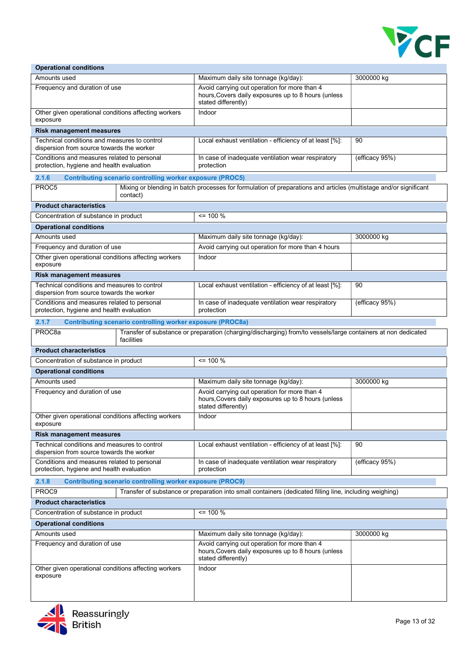

| <b>Operational conditions</b>                                                                                                                     |                                                                                                                               |                                                                                                                            |                |  |  |  |  |
|---------------------------------------------------------------------------------------------------------------------------------------------------|-------------------------------------------------------------------------------------------------------------------------------|----------------------------------------------------------------------------------------------------------------------------|----------------|--|--|--|--|
| Amounts used                                                                                                                                      |                                                                                                                               | Maximum daily site tonnage (kg/day):                                                                                       | 3000000 kg     |  |  |  |  |
| Frequency and duration of use                                                                                                                     |                                                                                                                               | Avoid carrying out operation for more than 4<br>hours, Covers daily exposures up to 8 hours (unless<br>stated differently) |                |  |  |  |  |
| Other given operational conditions affecting workers<br>exposure                                                                                  |                                                                                                                               | Indoor                                                                                                                     |                |  |  |  |  |
| <b>Risk management measures</b>                                                                                                                   |                                                                                                                               |                                                                                                                            |                |  |  |  |  |
| Technical conditions and measures to control<br>dispersion from source towards the worker                                                         |                                                                                                                               | Local exhaust ventilation - efficiency of at least [%]:                                                                    | 90             |  |  |  |  |
| Conditions and measures related to personal<br>protection, hygiene and health evaluation                                                          |                                                                                                                               | In case of inadequate ventilation wear respiratory<br>protection                                                           | (efficacy 95%) |  |  |  |  |
| 2.1.6                                                                                                                                             | <b>Contributing scenario controlling worker exposure (PROC5)</b>                                                              |                                                                                                                            |                |  |  |  |  |
| PROC5                                                                                                                                             | Mixing or blending in batch processes for formulation of preparations and articles (multistage and/or significant<br>contact) |                                                                                                                            |                |  |  |  |  |
| <b>Product characteristics</b>                                                                                                                    |                                                                                                                               |                                                                                                                            |                |  |  |  |  |
| Concentration of substance in product                                                                                                             |                                                                                                                               | $\leq$ 100 %                                                                                                               |                |  |  |  |  |
| <b>Operational conditions</b>                                                                                                                     |                                                                                                                               |                                                                                                                            |                |  |  |  |  |
| Amounts used                                                                                                                                      |                                                                                                                               | Maximum daily site tonnage (kg/day):                                                                                       | 3000000 kg     |  |  |  |  |
| Frequency and duration of use                                                                                                                     |                                                                                                                               | Avoid carrying out operation for more than 4 hours                                                                         |                |  |  |  |  |
| Other given operational conditions affecting workers<br>exposure                                                                                  |                                                                                                                               | Indoor                                                                                                                     |                |  |  |  |  |
| <b>Risk management measures</b>                                                                                                                   |                                                                                                                               |                                                                                                                            |                |  |  |  |  |
| Technical conditions and measures to control<br>dispersion from source towards the worker                                                         |                                                                                                                               | Local exhaust ventilation - efficiency of at least [%]:                                                                    | 90             |  |  |  |  |
| Conditions and measures related to personal<br>protection, hygiene and health evaluation                                                          |                                                                                                                               | In case of inadequate ventilation wear respiratory<br>protection                                                           | (efficacy 95%) |  |  |  |  |
| 2.1.7<br><b>Contributing scenario controlling worker exposure (PROC8a)</b>                                                                        |                                                                                                                               |                                                                                                                            |                |  |  |  |  |
| PROC <sub>8a</sub><br>Transfer of substance or preparation (charging/discharging) from/to vessels/large containers at non dedicated<br>facilities |                                                                                                                               |                                                                                                                            |                |  |  |  |  |
| <b>Product characteristics</b>                                                                                                                    |                                                                                                                               |                                                                                                                            |                |  |  |  |  |
| Concentration of substance in product                                                                                                             |                                                                                                                               | $= 100 \%$                                                                                                                 |                |  |  |  |  |
| <b>Operational conditions</b>                                                                                                                     |                                                                                                                               |                                                                                                                            |                |  |  |  |  |
| Amounts used                                                                                                                                      |                                                                                                                               | Maximum daily site tonnage (kg/day):                                                                                       | 3000000 kg     |  |  |  |  |
| Frequency and duration of use                                                                                                                     |                                                                                                                               | Avoid carrying out operation for more than 4<br>hours, Covers daily exposures up to 8 hours (unless<br>stated differently) |                |  |  |  |  |
| Other given operational conditions affecting workers<br>exposure                                                                                  |                                                                                                                               | Indoor                                                                                                                     |                |  |  |  |  |
| <b>Risk management measures</b>                                                                                                                   |                                                                                                                               |                                                                                                                            |                |  |  |  |  |
| Technical conditions and measures to control<br>dispersion from source towards the worker                                                         |                                                                                                                               | Local exhaust ventilation - efficiency of at least [%]:                                                                    | 90             |  |  |  |  |
| Conditions and measures related to personal<br>protection, hygiene and health evaluation                                                          |                                                                                                                               | In case of inadequate ventilation wear respiratory<br>protection                                                           | (efficacy 95%) |  |  |  |  |
| 2.1.8                                                                                                                                             | <b>Contributing scenario controlling worker exposure (PROC9)</b>                                                              |                                                                                                                            |                |  |  |  |  |
| PROC9                                                                                                                                             |                                                                                                                               | Transfer of substance or preparation into small containers (dedicated filling line, including weighing)                    |                |  |  |  |  |
| <b>Product characteristics</b>                                                                                                                    |                                                                                                                               |                                                                                                                            |                |  |  |  |  |
| Concentration of substance in product                                                                                                             |                                                                                                                               | $\le$ 100 %                                                                                                                |                |  |  |  |  |
| <b>Operational conditions</b>                                                                                                                     |                                                                                                                               |                                                                                                                            |                |  |  |  |  |
| Amounts used                                                                                                                                      |                                                                                                                               | Maximum daily site tonnage (kg/day):                                                                                       | 3000000 kg     |  |  |  |  |
| Frequency and duration of use                                                                                                                     |                                                                                                                               | Avoid carrying out operation for more than 4<br>hours, Covers daily exposures up to 8 hours (unless<br>stated differently) |                |  |  |  |  |
| Other given operational conditions affecting workers<br>exposure                                                                                  |                                                                                                                               | Indoor                                                                                                                     |                |  |  |  |  |

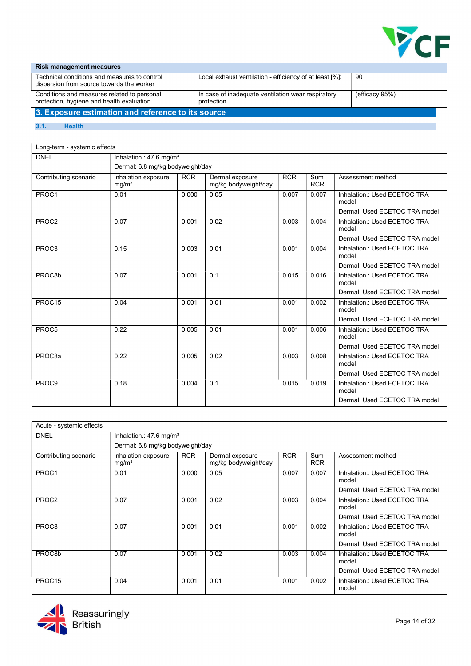

#### Risk management measures Technical conditions and measures to control dispersion from source towards the worker Local exhaust ventilation - efficiency of at least [%]: 90 Conditions and measures related to personal protection, hygiene and health evaluation In case of inadequate ventilation wear respiratory protection (efficacy 95%) 3. Exposure estimation and reference to its source

#### 3.1. Health

| Long-term - systemic effects |                                          |            |                                         |            |                   |                                       |  |  |
|------------------------------|------------------------------------------|------------|-----------------------------------------|------------|-------------------|---------------------------------------|--|--|
| <b>DNEL</b>                  | Inhalation.: 47.6 mg/m <sup>3</sup>      |            |                                         |            |                   |                                       |  |  |
|                              | Dermal: 6.8 mg/kg bodyweight/day         |            |                                         |            |                   |                                       |  |  |
| Contributing scenario        | inhalation exposure<br>mg/m <sup>3</sup> | <b>RCR</b> | Dermal exposure<br>mg/kg bodyweight/day | <b>RCR</b> | Sum<br><b>RCR</b> | Assessment method                     |  |  |
| PROC1                        | 0.01                                     | 0.000      | 0.05                                    | 0.007      | 0.007             | Inhalation.: Used ECETOC TRA<br>model |  |  |
|                              |                                          |            |                                         |            |                   | Dermal: Used ECETOC TRA model         |  |  |
| PROC2                        | 0.07                                     | 0.001      | 0.02                                    | 0.003      | 0.004             | Inhalation.: Used ECETOC TRA<br>model |  |  |
|                              |                                          |            |                                         |            |                   | Dermal: Used ECETOC TRA model         |  |  |
| PROC3                        | 0.15                                     | 0.003      | 0.01                                    | 0.001      | 0.004             | Inhalation.: Used ECETOC TRA<br>model |  |  |
|                              |                                          |            |                                         |            |                   | Dermal: Used ECETOC TRA model         |  |  |
| PROC8b                       | 0.07                                     | 0.001      | 0.1                                     | 0.015      | 0.016             | Inhalation.: Used ECETOC TRA<br>model |  |  |
|                              |                                          |            |                                         |            |                   | Dermal: Used ECETOC TRA model         |  |  |
| PROC15                       | 0.04                                     | 0.001      | 0.01                                    | 0.001      | 0.002             | Inhalation.: Used ECETOC TRA<br>model |  |  |
|                              |                                          |            |                                         |            |                   | Dermal: Used ECETOC TRA model         |  |  |
| PROC5                        | 0.22                                     | 0.005      | 0.01                                    | 0.001      | 0.006             | Inhalation.: Used ECETOC TRA<br>model |  |  |
|                              |                                          |            |                                         |            |                   | Dermal: Used ECETOC TRA model         |  |  |
| PROC8a                       | 0.22                                     | 0.005      | 0.02                                    | 0.003      | 0.008             | Inhalation.: Used ECETOC TRA<br>model |  |  |
|                              |                                          |            |                                         |            |                   | Dermal: Used ECETOC TRA model         |  |  |
| PROC9                        | 0.18                                     | 0.004      | 0.1                                     | 0.015      | 0.019             | Inhalation.: Used ECETOC TRA<br>model |  |  |
|                              |                                          |            |                                         |            |                   | Dermal: Used ECETOC TRA model         |  |  |

| Acute - systemic effects |                                          |                                    |                                         |            |                   |                                       |  |  |
|--------------------------|------------------------------------------|------------------------------------|-----------------------------------------|------------|-------------------|---------------------------------------|--|--|
| <b>DNEL</b>              |                                          | Inhalation.: $47.6 \text{ mg/m}^3$ |                                         |            |                   |                                       |  |  |
|                          | Dermal: 6.8 mg/kg bodyweight/day         |                                    |                                         |            |                   |                                       |  |  |
| Contributing scenario    | inhalation exposure<br>mg/m <sup>3</sup> | <b>RCR</b>                         | Dermal exposure<br>mg/kg bodyweight/day | <b>RCR</b> | Sum<br><b>RCR</b> | Assessment method                     |  |  |
| PROC1                    | 0.01                                     | 0.000                              | 0.05                                    | 0.007      | 0.007             | Inhalation.: Used ECETOC TRA<br>model |  |  |
|                          |                                          |                                    |                                         |            |                   | Dermal: Used ECETOC TRA model         |  |  |
| PROC <sub>2</sub>        | 0.07                                     | 0.001                              | 0.02                                    | 0.003      | 0.004             | Inhalation.: Used ECETOC TRA<br>model |  |  |
|                          |                                          |                                    |                                         |            |                   | Dermal: Used ECETOC TRA model         |  |  |
| PROC3                    | 0.07                                     | 0.001                              | 0.01                                    | 0.001      | 0.002             | Inhalation.: Used ECETOC TRA<br>model |  |  |
|                          |                                          |                                    |                                         |            |                   | Dermal: Used ECETOC TRA model         |  |  |
| PROC8b                   | 0.07                                     | 0.001                              | 0.02                                    | 0.003      | 0.004             | Inhalation.: Used ECETOC TRA<br>model |  |  |
|                          |                                          |                                    |                                         |            |                   | Dermal: Used ECETOC TRA model         |  |  |
| PROC <sub>15</sub>       | 0.04                                     | 0.001                              | 0.01                                    | 0.001      | 0.002             | Inhalation.: Used ECETOC TRA<br>model |  |  |

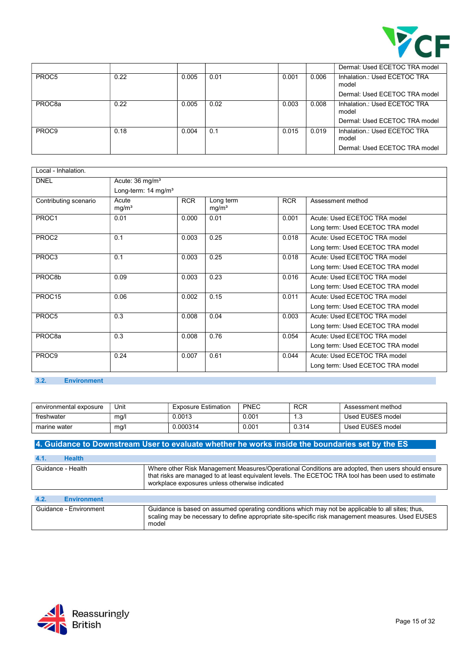

|                    |      |       |      |       |       | Dermal: Used ECETOC TRA model         |
|--------------------|------|-------|------|-------|-------|---------------------------------------|
| PROC5              | 0.22 | 0.005 | 0.01 | 0.001 | 0.006 | Inhalation.: Used ECETOC TRA<br>model |
|                    |      |       |      |       |       | Dermal: Used ECETOC TRA model         |
| PROC <sub>8a</sub> | 0.22 | 0.005 | 0.02 | 0.003 | 0.008 | Inhalation.: Used ECETOC TRA<br>model |
|                    |      |       |      |       |       | Dermal: Used ECETOC TRA model         |
| PROC9              | 0.18 | 0.004 | 0.1  | 0.015 | 0.019 | Inhalation.: Used ECETOC TRA<br>model |
|                    |      |       |      |       |       | Dermal: Used ECETOC TRA model         |

| Local - Inhalation.   |                             |                                 |                                |            |                                  |  |  |  |  |
|-----------------------|-----------------------------|---------------------------------|--------------------------------|------------|----------------------------------|--|--|--|--|
| <b>DNEL</b>           | Acute: 36 mg/m <sup>3</sup> |                                 |                                |            |                                  |  |  |  |  |
|                       |                             | Long-term: 14 mg/m <sup>3</sup> |                                |            |                                  |  |  |  |  |
| Contributing scenario | Acute<br>mg/m <sup>3</sup>  | <b>RCR</b>                      | Long term<br>mg/m <sup>3</sup> | <b>RCR</b> | Assessment method                |  |  |  |  |
| PROC1                 | 0.01                        | 0.000                           | 0.01                           | 0.001      | Acute: Used ECETOC TRA model     |  |  |  |  |
|                       |                             |                                 |                                |            | Long term: Used ECETOC TRA model |  |  |  |  |
| PROC2                 | 0.1                         | 0.003                           | 0.25                           | 0.018      | Acute: Used ECETOC TRA model     |  |  |  |  |
|                       |                             |                                 |                                |            | Long term: Used ECETOC TRA model |  |  |  |  |
| PROC3                 | 0.1                         | 0.003                           | 0.25                           | 0.018      | Acute: Used ECETOC TRA model     |  |  |  |  |
|                       |                             |                                 |                                |            | Long term: Used ECETOC TRA model |  |  |  |  |
| PROC8b                | 0.09                        | 0.003                           | 0.23                           | 0.016      | Acute: Used ECETOC TRA model     |  |  |  |  |
|                       |                             |                                 |                                |            | Long term: Used ECETOC TRA model |  |  |  |  |
| PROC15                | 0.06                        | 0.002                           | 0.15                           | 0.011      | Acute: Used ECETOC TRA model     |  |  |  |  |
|                       |                             |                                 |                                |            | Long term: Used ECETOC TRA model |  |  |  |  |
| PROC5                 | 0.3                         | 0.008                           | 0.04                           | 0.003      | Acute: Used ECETOC TRA model     |  |  |  |  |
|                       |                             |                                 |                                |            | Long term: Used ECETOC TRA model |  |  |  |  |
| PROC <sub>8a</sub>    | 0.3                         | 0.008                           | 0.76                           | 0.054      | Acute: Used ECETOC TRA model     |  |  |  |  |
|                       |                             |                                 |                                |            | Long term: Used ECETOC TRA model |  |  |  |  |
| PROC9                 | 0.24                        | 0.007                           | 0.61                           | 0.044      | Acute: Used ECETOC TRA model     |  |  |  |  |
|                       |                             |                                 |                                |            | Long term: Used ECETOC TRA model |  |  |  |  |

## 3.2. Environment

| environmental exposure | Unit | <b>Exposure Estimation</b> | <b>PNEC</b> | <b>RCR</b> | Assessment method |
|------------------------|------|----------------------------|-------------|------------|-------------------|
| freshwater             | ma/l | 0.0013                     | 0.001       | ن. ا       | Used EUSES model  |
| marine water           | mg/l | 0.000314                   | 0.001       | 0.314      | Used EUSES model  |

## 4. Guidance to Downstream User to evaluate whether he works inside the boundaries set by the ES

| <b>Health</b><br>4.1.      |                                                                                                                                                                                                                                                            |
|----------------------------|------------------------------------------------------------------------------------------------------------------------------------------------------------------------------------------------------------------------------------------------------------|
| Guidance - Health          | Where other Risk Management Measures/Operational Conditions are adopted, then users should ensure<br>that risks are managed to at least equivalent levels. The ECETOC TRA tool has been used to estimate<br>workplace exposures unless otherwise indicated |
| <b>Environment</b><br>4.2. |                                                                                                                                                                                                                                                            |
| Guidance - Environment     | Guidance is based on assumed operating conditions which may not be applicable to all sites; thus,<br>scaling may be necessary to define appropriate site-specific risk management measures. Used EUSES<br>model                                            |

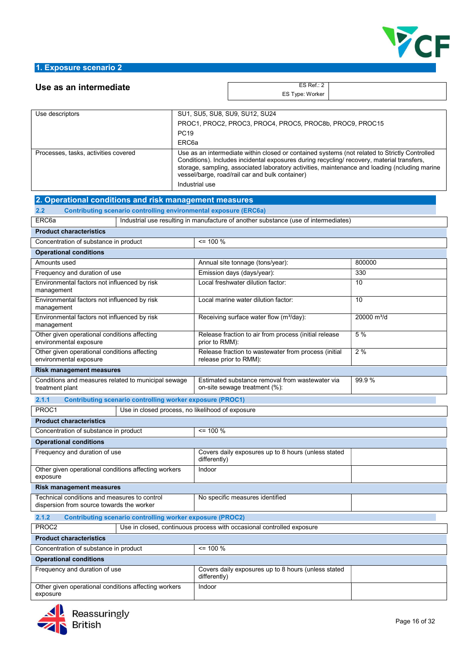

| Use as an intermediate                                                                    |                                                  | ES Ref.: 2                                                                                                                                                                                                                                                                                   |                         |  |  |  |  |
|-------------------------------------------------------------------------------------------|--------------------------------------------------|----------------------------------------------------------------------------------------------------------------------------------------------------------------------------------------------------------------------------------------------------------------------------------------------|-------------------------|--|--|--|--|
|                                                                                           |                                                  | ES Type: Worker                                                                                                                                                                                                                                                                              |                         |  |  |  |  |
|                                                                                           |                                                  |                                                                                                                                                                                                                                                                                              |                         |  |  |  |  |
| Use descriptors                                                                           | SU1, SU5, SU8, SU9, SU12, SU24                   |                                                                                                                                                                                                                                                                                              |                         |  |  |  |  |
|                                                                                           | <b>PC19</b>                                      | PROC1, PROC2, PROC3, PROC4, PROC5, PROC8b, PROC9, PROC15                                                                                                                                                                                                                                     |                         |  |  |  |  |
|                                                                                           | ERC <sub>6a</sub>                                |                                                                                                                                                                                                                                                                                              |                         |  |  |  |  |
| Processes, tasks, activities covered                                                      |                                                  |                                                                                                                                                                                                                                                                                              |                         |  |  |  |  |
|                                                                                           |                                                  | Use as an intermediate within closed or contained systems (not related to Strictly Controlled<br>Conditions). Includes incidental exposures during recycling/ recovery, material transfers,<br>storage, sampling, associated laboratory activities, maintenance and loading (ncluding marine |                         |  |  |  |  |
| vessel/barge, road/rail car and bulk container)<br>Industrial use                         |                                                  |                                                                                                                                                                                                                                                                                              |                         |  |  |  |  |
| 2. Operational conditions and risk management measures                                    |                                                  |                                                                                                                                                                                                                                                                                              |                         |  |  |  |  |
| 2.2<br><b>Contributing scenario controlling environmental exposure (ERC6a)</b>            |                                                  |                                                                                                                                                                                                                                                                                              |                         |  |  |  |  |
| ERC6a                                                                                     |                                                  | Industrial use resulting in manufacture of another substance (use of intermediates)                                                                                                                                                                                                          |                         |  |  |  |  |
| <b>Product characteristics</b>                                                            |                                                  |                                                                                                                                                                                                                                                                                              |                         |  |  |  |  |
| Concentration of substance in product                                                     | $= 100 %$                                        |                                                                                                                                                                                                                                                                                              |                         |  |  |  |  |
| <b>Operational conditions</b>                                                             |                                                  |                                                                                                                                                                                                                                                                                              |                         |  |  |  |  |
| Amounts used                                                                              |                                                  | Annual site tonnage (tons/year):                                                                                                                                                                                                                                                             | 800000                  |  |  |  |  |
| Frequency and duration of use                                                             |                                                  | Emission days (days/year):                                                                                                                                                                                                                                                                   | 330                     |  |  |  |  |
| Environmental factors not influenced by risk<br>management                                |                                                  | Local freshwater dilution factor:                                                                                                                                                                                                                                                            | 10                      |  |  |  |  |
| Environmental factors not influenced by risk<br>management                                |                                                  | Local marine water dilution factor:                                                                                                                                                                                                                                                          | 10                      |  |  |  |  |
| Environmental factors not influenced by risk<br>management                                |                                                  | Receiving surface water flow (m <sup>3</sup> /day):                                                                                                                                                                                                                                          | 20000 m <sup>3</sup> /d |  |  |  |  |
| Other given operational conditions affecting<br>environmental exposure                    | prior to RMM):                                   | Release fraction to air from process (initial release                                                                                                                                                                                                                                        | 5 %                     |  |  |  |  |
| Other given operational conditions affecting<br>environmental exposure                    |                                                  | Release fraction to wastewater from process (initial<br>release prior to RMM):                                                                                                                                                                                                               | 2%                      |  |  |  |  |
| <b>Risk management measures</b>                                                           |                                                  |                                                                                                                                                                                                                                                                                              |                         |  |  |  |  |
| Conditions and measures related to municipal sewage<br>treatment plant                    |                                                  | Estimated substance removal from wastewater via<br>on-site sewage treatment (%):                                                                                                                                                                                                             | 99.9%                   |  |  |  |  |
| 2.1.1<br><b>Contributing scenario controlling worker exposure (PROC1)</b>                 |                                                  |                                                                                                                                                                                                                                                                                              |                         |  |  |  |  |
| PROC1                                                                                     | Use in closed process, no likelihood of exposure |                                                                                                                                                                                                                                                                                              |                         |  |  |  |  |
| <b>Product characteristics</b>                                                            |                                                  |                                                                                                                                                                                                                                                                                              |                         |  |  |  |  |
| Concentration of substance in product                                                     | $= 100 \%$                                       |                                                                                                                                                                                                                                                                                              |                         |  |  |  |  |
| <b>Operational conditions</b>                                                             |                                                  |                                                                                                                                                                                                                                                                                              |                         |  |  |  |  |
| Frequency and duration of use                                                             | differently)                                     | Covers daily exposures up to 8 hours (unless stated                                                                                                                                                                                                                                          |                         |  |  |  |  |
| Other given operational conditions affecting workers<br>exposure                          | Indoor                                           |                                                                                                                                                                                                                                                                                              |                         |  |  |  |  |
| <b>Risk management measures</b>                                                           |                                                  |                                                                                                                                                                                                                                                                                              |                         |  |  |  |  |
| Technical conditions and measures to control<br>dispersion from source towards the worker |                                                  | No specific measures identified                                                                                                                                                                                                                                                              |                         |  |  |  |  |
| 2.1.2<br><b>Contributing scenario controlling worker exposure (PROC2)</b>                 |                                                  |                                                                                                                                                                                                                                                                                              |                         |  |  |  |  |
| PROC2                                                                                     |                                                  | Use in closed, continuous process with occasional controlled exposure                                                                                                                                                                                                                        |                         |  |  |  |  |
| <b>Product characteristics</b>                                                            |                                                  |                                                                                                                                                                                                                                                                                              |                         |  |  |  |  |
| Concentration of substance in product                                                     | $= 100 %$                                        |                                                                                                                                                                                                                                                                                              |                         |  |  |  |  |
| <b>Operational conditions</b>                                                             |                                                  |                                                                                                                                                                                                                                                                                              |                         |  |  |  |  |
| Frequency and duration of use                                                             | differently)                                     | Covers daily exposures up to 8 hours (unless stated                                                                                                                                                                                                                                          |                         |  |  |  |  |
| Other given operational conditions affecting workers<br>exposure                          | Indoor                                           |                                                                                                                                                                                                                                                                                              |                         |  |  |  |  |
|                                                                                           |                                                  |                                                                                                                                                                                                                                                                                              |                         |  |  |  |  |

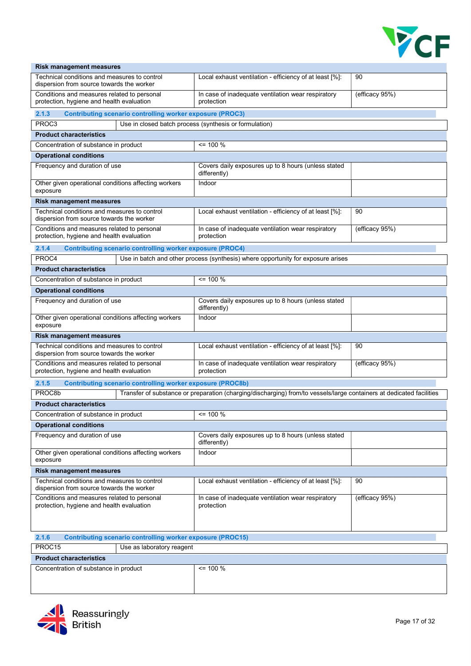

| <b>Risk management measures</b>                                                           |                                                                                                                      |                |  |  |  |  |  |
|-------------------------------------------------------------------------------------------|----------------------------------------------------------------------------------------------------------------------|----------------|--|--|--|--|--|
| Technical conditions and measures to control<br>dispersion from source towards the worker | Local exhaust ventilation - efficiency of at least [%]:                                                              | 90             |  |  |  |  |  |
| Conditions and measures related to personal<br>protection, hygiene and health evaluation  | In case of inadequate ventilation wear respiratory<br>protection                                                     | (efficacy 95%) |  |  |  |  |  |
| 2.1.3<br><b>Contributing scenario controlling worker exposure (PROC3)</b>                 |                                                                                                                      |                |  |  |  |  |  |
| PROC3                                                                                     | Use in closed batch process (synthesis or formulation)                                                               |                |  |  |  |  |  |
| <b>Product characteristics</b>                                                            |                                                                                                                      |                |  |  |  |  |  |
| Concentration of substance in product                                                     | $= 100 \%$                                                                                                           |                |  |  |  |  |  |
| <b>Operational conditions</b>                                                             |                                                                                                                      |                |  |  |  |  |  |
| Frequency and duration of use                                                             | Covers daily exposures up to 8 hours (unless stated<br>differently)                                                  |                |  |  |  |  |  |
| Other given operational conditions affecting workers<br>exposure                          | Indoor                                                                                                               |                |  |  |  |  |  |
| <b>Risk management measures</b>                                                           |                                                                                                                      |                |  |  |  |  |  |
| Technical conditions and measures to control<br>dispersion from source towards the worker | Local exhaust ventilation - efficiency of at least [%]:                                                              | 90             |  |  |  |  |  |
| Conditions and measures related to personal<br>protection, hygiene and health evaluation  | In case of inadequate ventilation wear respiratory<br>protection                                                     | (efficacy 95%) |  |  |  |  |  |
| 2.1.4<br><b>Contributing scenario controlling worker exposure (PROC4)</b>                 |                                                                                                                      |                |  |  |  |  |  |
| PROC4                                                                                     | Use in batch and other process (synthesis) where opportunity for exposure arises                                     |                |  |  |  |  |  |
| <b>Product characteristics</b>                                                            |                                                                                                                      |                |  |  |  |  |  |
| $= 100 %$<br>Concentration of substance in product                                        |                                                                                                                      |                |  |  |  |  |  |
| <b>Operational conditions</b>                                                             |                                                                                                                      |                |  |  |  |  |  |
| Frequency and duration of use                                                             | Covers daily exposures up to 8 hours (unless stated<br>differently)                                                  |                |  |  |  |  |  |
| Other given operational conditions affecting workers<br>exposure                          | Indoor                                                                                                               |                |  |  |  |  |  |
| <b>Risk management measures</b>                                                           |                                                                                                                      |                |  |  |  |  |  |
| Technical conditions and measures to control<br>dispersion from source towards the worker | Local exhaust ventilation - efficiency of at least [%]:                                                              | 90             |  |  |  |  |  |
| Conditions and measures related to personal<br>protection, hygiene and health evaluation  | In case of inadequate ventilation wear respiratory<br>protection                                                     | (efficacy 95%) |  |  |  |  |  |
| 2.1.5<br><b>Contributing scenario controlling worker exposure (PROC8b)</b>                |                                                                                                                      |                |  |  |  |  |  |
| PROC8b                                                                                    | Transfer of substance or preparation (charging/discharging) from/to vessels/large containers at dedicated facilities |                |  |  |  |  |  |
| <b>Product characteristics</b>                                                            |                                                                                                                      |                |  |  |  |  |  |
| Concentration of substance in product                                                     | $\leq$ 100 %                                                                                                         |                |  |  |  |  |  |
| <b>Operational conditions</b>                                                             |                                                                                                                      |                |  |  |  |  |  |
| Frequency and duration of use                                                             | Covers daily exposures up to 8 hours (unless stated<br>differently)                                                  |                |  |  |  |  |  |
| Other given operational conditions affecting workers<br>exposure                          | Indoor                                                                                                               |                |  |  |  |  |  |
| <b>Risk management measures</b>                                                           |                                                                                                                      |                |  |  |  |  |  |
| Technical conditions and measures to control<br>dispersion from source towards the worker | Local exhaust ventilation - efficiency of at least [%]:                                                              | 90             |  |  |  |  |  |
| Conditions and measures related to personal<br>protection, hygiene and health evaluation  | In case of inadequate ventilation wear respiratory<br>protection                                                     | (efficacy 95%) |  |  |  |  |  |
| 2.1.6<br><b>Contributing scenario controlling worker exposure (PROC15)</b>                |                                                                                                                      |                |  |  |  |  |  |
| PROC15<br>Use as laboratory reagent                                                       |                                                                                                                      |                |  |  |  |  |  |
| <b>Product characteristics</b>                                                            |                                                                                                                      |                |  |  |  |  |  |

| <b>Product characteristics</b>        |          |  |  |  |  |
|---------------------------------------|----------|--|--|--|--|
| Concentration of substance in product | <= 100 % |  |  |  |  |
|                                       |          |  |  |  |  |
|                                       |          |  |  |  |  |

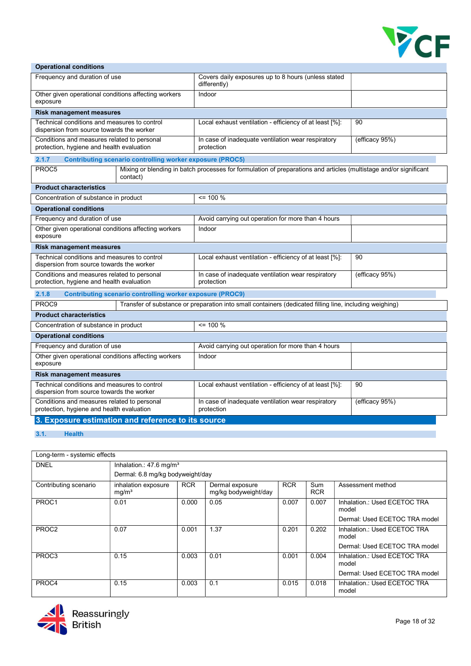

#### Operational conditions Frequency and duration of use Covers daily exposures up to 8 hours (unless stated differently) Other given operational conditions affecting workers exposure Indoor Risk management measures Technical conditions and measures to control dispersion from source towards the worker Local exhaust ventilation - efficiency of at least [%]: 90 Conditions and measures related to personal protection, hygiene and health evaluation In case of inadequate ventilation wear respiratory protection (efficacy 95%) 2.1.7 Contributing scenario controlling worker exposure (PROC5) PROC5 Mixing or blending in batch processes for formulation of preparations and articles (multistage and/or significant contact) Product characteristics Concentration of substance in product <= 100 % Operational conditions Frequency and duration of use Avoid carrying out operation for more than 4 hours Other given operational conditions affecting workers exposure Indoor Risk management measures Technical conditions and measures to control dispersion from source towards the worker Local exhaust ventilation - efficiency of at least [%]: | 90 Conditions and measures related to personal protection, hygiene and health evaluation In case of inadequate ventilation wear respiratory protection (efficacy 95%) 2.1.8 Contributing scenario controlling worker exposure (PROC9) PROC9 Transfer of substance or preparation into small containers (dedicated filling line, including weighing) Product characteristics Concentration of substance in product <= 100 % Operational conditions Frequency and duration of use Avoid carrying out operation for more than 4 hours Other given operational conditions affecting workers exposure Indoor Risk management measures Technical conditions and measures to control dispersion from source towards the worker Local exhaust ventilation - efficiency of at least [%]: 90 Conditions and measures related to personal protection, hygiene and health evaluation In case of inadequate ventilation wear respiratory protection (efficacy 95%) 3. Exposure estimation and reference to its source

#### 3.1. Health

| Long-term - systemic effects |                                          |                                       |                                         |            |                   |                                       |  |  |  |
|------------------------------|------------------------------------------|---------------------------------------|-----------------------------------------|------------|-------------------|---------------------------------------|--|--|--|
| <b>DNEL</b>                  |                                          | Inhalation.: $47.6$ mg/m <sup>3</sup> |                                         |            |                   |                                       |  |  |  |
|                              | Dermal: 6.8 mg/kg bodyweight/day         |                                       |                                         |            |                   |                                       |  |  |  |
| Contributing scenario        | inhalation exposure<br>mg/m <sup>3</sup> | <b>RCR</b>                            | Dermal exposure<br>mg/kg bodyweight/day | <b>RCR</b> | Sum<br><b>RCR</b> | Assessment method                     |  |  |  |
| PROC1                        | 0.01                                     | 0.000                                 | 0.05                                    | 0.007      | 0.007             | Inhalation: Used ECETOC TRA<br>model  |  |  |  |
|                              |                                          |                                       |                                         |            |                   | Dermal: Used ECETOC TRA model         |  |  |  |
| PROC <sub>2</sub>            | 0.07                                     | 0.001                                 | 1.37                                    | 0.201      | 0.202             | Inhalation.: Used ECETOC TRA<br>model |  |  |  |
|                              |                                          |                                       |                                         |            |                   | Dermal: Used ECETOC TRA model         |  |  |  |
| PROC3                        | 0.15                                     | 0.003                                 | 0.01                                    | 0.001      | 0.004             | Inhalation.: Used ECETOC TRA<br>model |  |  |  |
|                              |                                          |                                       |                                         |            |                   | Dermal: Used ECETOC TRA model         |  |  |  |
| PROC4                        | 0.15                                     | 0.003                                 | 0.1                                     | 0.015      | 0.018             | Inhalation.: Used ECETOC TRA<br>model |  |  |  |

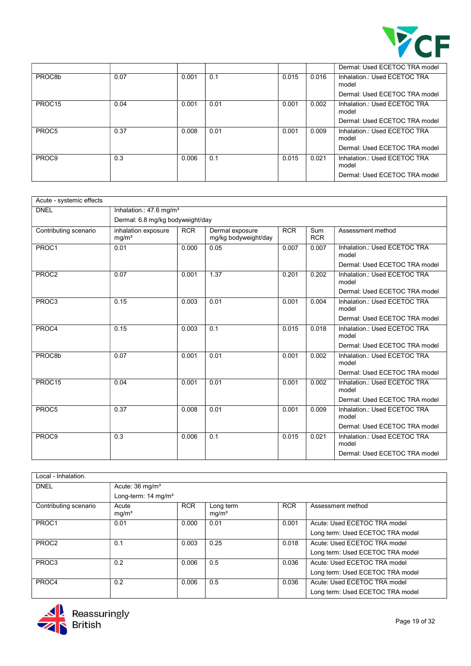

|                    |      |       |      |       |       | Dermal: Used ECETOC TRA model         |
|--------------------|------|-------|------|-------|-------|---------------------------------------|
| PROC8b             | 0.07 | 0.001 | 0.1  | 0.015 | 0.016 | Inhalation.: Used ECETOC TRA<br>model |
|                    |      |       |      |       |       | Dermal: Used ECETOC TRA model         |
| PROC <sub>15</sub> | 0.04 | 0.001 | 0.01 | 0.001 | 0.002 | Inhalation.: Used ECETOC TRA<br>model |
|                    |      |       |      |       |       | Dermal: Used ECETOC TRA model         |
| PROC5              | 0.37 | 0.008 | 0.01 | 0.001 | 0.009 | Inhalation.: Used ECETOC TRA<br>model |
|                    |      |       |      |       |       | Dermal: Used ECETOC TRA model         |
| PROC9              | 0.3  | 0.006 | 0.1  | 0.015 | 0.021 | Inhalation.: Used ECETOC TRA<br>model |
|                    |      |       |      |       |       | Dermal: Used ECETOC TRA model         |

| Acute - systemic effects |                                          |            |                                         |            |                   |                                       |  |  |
|--------------------------|------------------------------------------|------------|-----------------------------------------|------------|-------------------|---------------------------------------|--|--|
| <b>DNEL</b>              | Inhalation.: 47.6 mg/m <sup>3</sup>      |            |                                         |            |                   |                                       |  |  |
|                          | Dermal: 6.8 mg/kg bodyweight/day         |            |                                         |            |                   |                                       |  |  |
| Contributing scenario    | inhalation exposure<br>mq/m <sup>3</sup> | <b>RCR</b> | Dermal exposure<br>mg/kg bodyweight/day | <b>RCR</b> | Sum<br><b>RCR</b> | Assessment method                     |  |  |
| PROC1                    | 0.01                                     | 0.000      | 0.05                                    | 0.007      | 0.007             | Inhalation.: Used ECETOC TRA<br>model |  |  |
|                          |                                          |            |                                         |            |                   | Dermal: Used ECETOC TRA model         |  |  |
| PROC2                    | 0.07                                     | 0.001      | 1.37                                    | 0.201      | 0.202             | Inhalation.: Used ECETOC TRA<br>model |  |  |
|                          |                                          |            |                                         |            |                   | Dermal: Used ECETOC TRA model         |  |  |
| PROC3                    | 0.15                                     | 0.003      | 0.01                                    | 0.001      | 0.004             | Inhalation.: Used ECETOC TRA<br>model |  |  |
|                          |                                          |            |                                         |            |                   | Dermal: Used ECETOC TRA model         |  |  |
| PROC4                    | 0.15                                     | 0.003      | 0.1                                     | 0.015      | 0.018             | Inhalation: Used ECETOC TRA<br>model  |  |  |
|                          |                                          |            |                                         |            |                   | Dermal: Used ECETOC TRA model         |  |  |
| PROC8b                   | 0.07                                     | 0.001      | 0.01                                    | 0.001      | 0.002             | Inhalation.: Used ECETOC TRA<br>model |  |  |
|                          |                                          |            |                                         |            |                   | Dermal: Used ECETOC TRA model         |  |  |
| PROC15                   | 0.04                                     | 0.001      | 0.01                                    | 0.001      | 0.002             | Inhalation.: Used ECETOC TRA<br>model |  |  |
|                          |                                          |            |                                         |            |                   | Dermal: Used ECETOC TRA model         |  |  |
| PROC5                    | 0.37                                     | 0.008      | 0.01                                    | 0.001      | 0.009             | Inhalation.: Used ECETOC TRA<br>model |  |  |
|                          |                                          |            |                                         |            |                   | Dermal: Used ECETOC TRA model         |  |  |
| PROC9                    | 0.3                                      | 0.006      | 0.1                                     | 0.015      | 0.021             | Inhalation.: Used ECETOC TRA<br>model |  |  |
|                          |                                          |            |                                         |            |                   | Dermal: Used ECETOC TRA model         |  |  |

| Local - Inhalation.   |                                 |            |                                |            |                                  |
|-----------------------|---------------------------------|------------|--------------------------------|------------|----------------------------------|
| <b>DNEL</b>           | Acute: $36 \text{ mg/m}^3$      |            |                                |            |                                  |
|                       | Long-term: 14 mg/m <sup>3</sup> |            |                                |            |                                  |
| Contributing scenario | Acute<br>mg/m <sup>3</sup>      | <b>RCR</b> | Long term<br>mg/m <sup>3</sup> | <b>RCR</b> | Assessment method                |
| PROC1                 | 0.01                            | 0.000      | 0.01                           | 0.001      | Acute: Used ECETOC TRA model     |
|                       |                                 |            |                                |            | Long term: Used ECETOC TRA model |
| PROC <sub>2</sub>     | 0.1                             | 0.003      | 0.25                           | 0.018      | Acute: Used ECETOC TRA model     |
|                       |                                 |            |                                |            | Long term: Used ECETOC TRA model |
| PROC3                 | 0.2                             | 0.006      | 0.5                            | 0.036      | Acute: Used ECETOC TRA model     |
|                       |                                 |            |                                |            | Long term: Used ECETOC TRA model |
| PROC4                 | 0.2                             | 0.006      | 0.5                            | 0.036      | Acute: Used ECETOC TRA model     |
|                       |                                 |            |                                |            | Long term: Used ECETOC TRA model |

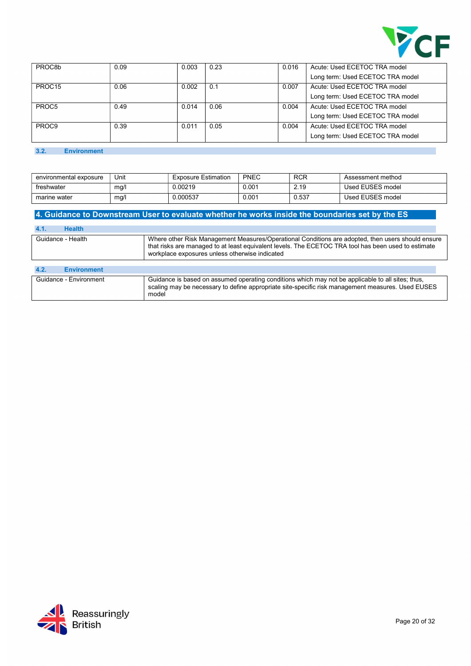

| PROC <sub>8</sub> b | 0.09 | 0.003 | 0.23 | 0.016 | Acute: Used ECETOC TRA model     |
|---------------------|------|-------|------|-------|----------------------------------|
|                     |      |       |      |       | Long term: Used ECETOC TRA model |
| PROC <sub>15</sub>  | 0.06 | 0.002 | 0.1  | 0.007 | Acute: Used ECETOC TRA model     |
|                     |      |       |      |       | Long term: Used ECETOC TRA model |
| PROC5               | 0.49 | 0.014 | 0.06 | 0.004 | Acute: Used ECETOC TRA model     |
|                     |      |       |      |       | Long term: Used ECETOC TRA model |
| PROC <sub>9</sub>   | 0.39 | 0.011 | 0.05 | 0.004 | Acute: Used ECETOC TRA model     |
|                     |      |       |      |       | Long term: Used ECETOC TRA model |

#### 3.2. Environment

| environmental exposure | Unit | <b>Exposure Estimation</b> | <b>PNEC</b> | <b>RCR</b> | Assessment method |
|------------------------|------|----------------------------|-------------|------------|-------------------|
| freshwater             | mg/l | 0.00219                    | 0.001       | 2.19       | Used EUSES model  |
| marine water           | mg/l | 0.000537                   | 0.001       | 0.537      | Used EUSES model  |

# 4. Guidance to Downstream User to evaluate whether he works inside the boundaries set by the ES

| <b>Health</b><br>4.1.      |                                                                                                                                                                                                                                                            |
|----------------------------|------------------------------------------------------------------------------------------------------------------------------------------------------------------------------------------------------------------------------------------------------------|
| Guidance - Health          | Where other Risk Management Measures/Operational Conditions are adopted, then users should ensure<br>that risks are managed to at least equivalent levels. The ECETOC TRA tool has been used to estimate<br>workplace exposures unless otherwise indicated |
| 4.2.<br><b>Environment</b> |                                                                                                                                                                                                                                                            |
| Guidance - Environment     | Guidance is based on assumed operating conditions which may not be applicable to all sites; thus,<br>scaling may be necessary to define appropriate site-specific risk management measures. Used EUSES<br>model                                            |

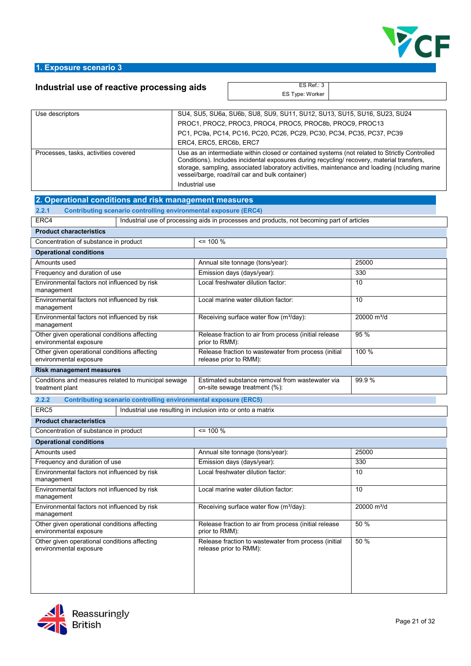

## 1. Exposure scenario 3

# Industrial use of reactive processing aids  $\overline{E^{S \text{ Ref.}: 3}}$

ES Type: Worker

| Use descriptors                      | SU4, SU5, SU6a, SU6b, SU8, SU9, SU11, SU12, SU13, SU15, SU16, SU23, SU24                                                                                                                                                                                                                                                                                         |
|--------------------------------------|------------------------------------------------------------------------------------------------------------------------------------------------------------------------------------------------------------------------------------------------------------------------------------------------------------------------------------------------------------------|
|                                      | PROC1, PROC2, PROC3, PROC4, PROC5, PROC8b, PROC9, PROC13                                                                                                                                                                                                                                                                                                         |
|                                      | PC1, PC9a, PC14, PC16, PC20, PC26, PC29, PC30, PC34, PC35, PC37, PC39                                                                                                                                                                                                                                                                                            |
|                                      | ERC4, ERC5, ERC6b, ERC7                                                                                                                                                                                                                                                                                                                                          |
| Processes, tasks, activities covered | Use as an intermediate within closed or contained systems (not related to Strictly Controlled<br>Conditions). Includes incidental exposures during recycling/recovery, material transfers,<br>storage, sampling, associated laboratory activities, maintenance and loading (ncluding marine<br>vessel/barge, road/rail car and bulk container)<br>Industrial use |

| 2. Operational conditions and risk management measures                          |                                                                                            |                         |  |  |  |  |  |
|---------------------------------------------------------------------------------|--------------------------------------------------------------------------------------------|-------------------------|--|--|--|--|--|
| <b>Contributing scenario controlling environmental exposure (ERC4)</b><br>2.2.1 |                                                                                            |                         |  |  |  |  |  |
| ERC4                                                                            | Industrial use of processing aids in processes and products, not becoming part of articles |                         |  |  |  |  |  |
| <b>Product characteristics</b>                                                  |                                                                                            |                         |  |  |  |  |  |
| Concentration of substance in product                                           | $= 100 \%$                                                                                 |                         |  |  |  |  |  |
| <b>Operational conditions</b>                                                   |                                                                                            |                         |  |  |  |  |  |
| Amounts used                                                                    | Annual site tonnage (tons/year):                                                           | 25000                   |  |  |  |  |  |
| Frequency and duration of use                                                   | Emission days (days/year):                                                                 | 330                     |  |  |  |  |  |
| Environmental factors not influenced by risk<br>management                      | Local freshwater dilution factor:                                                          | $\overline{10}$         |  |  |  |  |  |
| Environmental factors not influenced by risk<br>management                      | Local marine water dilution factor:                                                        | 10                      |  |  |  |  |  |
| Environmental factors not influenced by risk<br>management                      | Receiving surface water flow (m <sup>3</sup> /day):                                        | 20000 m <sup>3</sup> /d |  |  |  |  |  |
| Other given operational conditions affecting<br>environmental exposure          | Release fraction to air from process (initial release<br>prior to RMM):                    | 95 %                    |  |  |  |  |  |
| Other given operational conditions affecting<br>environmental exposure          | Release fraction to wastewater from process (initial<br>release prior to RMM):             | 100 %                   |  |  |  |  |  |
| <b>Risk management measures</b>                                                 |                                                                                            |                         |  |  |  |  |  |
| Conditions and measures related to municipal sewage<br>treatment plant          | Estimated substance removal from wastewater via<br>on-site sewage treatment (%):           | 99.9%                   |  |  |  |  |  |
| <b>Contributing scenario controlling environmental exposure (ERC5)</b>          |                                                                                            |                         |  |  |  |  |  |
| 2.2.2                                                                           |                                                                                            |                         |  |  |  |  |  |
| ERC <sub>5</sub>                                                                | Industrial use resulting in inclusion into or onto a matrix                                |                         |  |  |  |  |  |
| <b>Product characteristics</b>                                                  |                                                                                            |                         |  |  |  |  |  |
| Concentration of substance in product                                           | $= 100 \%$                                                                                 |                         |  |  |  |  |  |
| <b>Operational conditions</b>                                                   |                                                                                            |                         |  |  |  |  |  |
| Amounts used                                                                    | Annual site tonnage (tons/year):                                                           | 25000                   |  |  |  |  |  |
| Frequency and duration of use                                                   | Emission days (days/year):                                                                 | 330                     |  |  |  |  |  |
| Environmental factors not influenced by risk<br>management                      | Local freshwater dilution factor:                                                          | 10                      |  |  |  |  |  |
| Environmental factors not influenced by risk<br>management                      | Local marine water dilution factor:                                                        | 10                      |  |  |  |  |  |
| Environmental factors not influenced by risk<br>management                      | Receiving surface water flow (m <sup>3</sup> /day):                                        | 20000 m <sup>3</sup> /d |  |  |  |  |  |
| Other given operational conditions affecting<br>environmental exposure          | Release fraction to air from process (initial release<br>prior to RMM):                    | 50 %                    |  |  |  |  |  |
| Other given operational conditions affecting<br>environmental exposure          | Release fraction to wastewater from process (initial<br>release prior to RMM):             | 50 %                    |  |  |  |  |  |

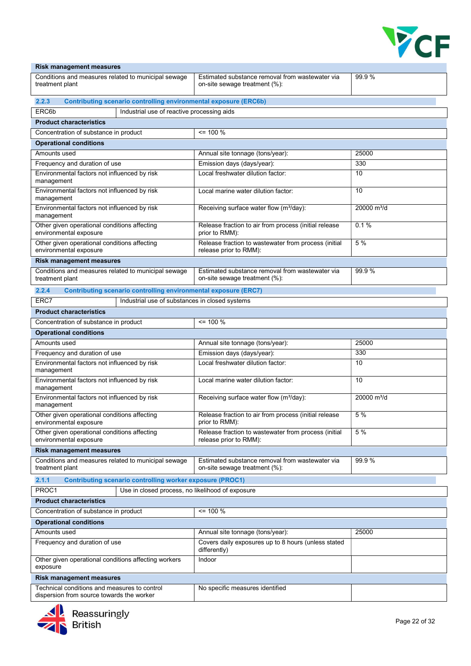

| <b>Risk management measures</b>                                                  |                                                                                  |                         |
|----------------------------------------------------------------------------------|----------------------------------------------------------------------------------|-------------------------|
| Conditions and measures related to municipal sewage<br>treatment plant           | Estimated substance removal from wastewater via<br>on-site sewage treatment (%): | 99.9%                   |
| <b>Contributing scenario controlling environmental exposure (ERC6b)</b><br>2.2.3 |                                                                                  |                         |
| ERC6b<br>Industrial use of reactive processing aids                              |                                                                                  |                         |
| <b>Product characteristics</b>                                                   |                                                                                  |                         |
| Concentration of substance in product                                            | $= 100 \%$                                                                       |                         |
| <b>Operational conditions</b>                                                    |                                                                                  |                         |
| Amounts used                                                                     | Annual site tonnage (tons/year):                                                 | 25000                   |
| Frequency and duration of use                                                    | Emission days (days/year):                                                       | 330                     |
| Environmental factors not influenced by risk<br>management                       | Local freshwater dilution factor:                                                | 10                      |
| Environmental factors not influenced by risk<br>management                       | Local marine water dilution factor:                                              | 10                      |
| Environmental factors not influenced by risk<br>management                       | Receiving surface water flow (m <sup>3</sup> /day):                              | 20000 m <sup>3</sup> /d |
| Other given operational conditions affecting<br>environmental exposure           | Release fraction to air from process (initial release<br>prior to RMM):          | 0.1%                    |
| Other given operational conditions affecting<br>environmental exposure           | Release fraction to wastewater from process (initial<br>release prior to RMM):   | 5 %                     |
| <b>Risk management measures</b>                                                  |                                                                                  |                         |
| Conditions and measures related to municipal sewage<br>treatment plant           | Estimated substance removal from wastewater via<br>on-site sewage treatment (%): | 99.9%                   |
| <b>Contributing scenario controlling environmental exposure (ERC7)</b><br>2.2.4  |                                                                                  |                         |
| Industrial use of substances in closed systems<br>ERC7                           |                                                                                  |                         |
| <b>Product characteristics</b>                                                   |                                                                                  |                         |
| Concentration of substance in product                                            | $= 100 \%$                                                                       |                         |
| <b>Operational conditions</b>                                                    |                                                                                  |                         |
| Amounts used                                                                     | Annual site tonnage (tons/year):                                                 | 25000                   |
| Frequency and duration of use                                                    | Emission days (days/year):                                                       | 330                     |
| Environmental factors not influenced by risk<br>management                       | Local freshwater dilution factor:                                                | 10                      |
| Environmental factors not influenced by risk<br>management                       | Local marine water dilution factor:                                              | 10                      |
| Environmental factors not influenced by risk<br>management                       | Receiving surface water flow (m <sup>3</sup> /day):                              | 20000 m <sup>3</sup> /d |
| Other given operational conditions affecting<br>environmental exposure           | Release fraction to air from process (initial release<br>prior to RMM):          | 5 %                     |
| Other given operational conditions affecting<br>environmental exposure           | Release fraction to wastewater from process (initial<br>release prior to RMM):   | 5 %                     |
| <b>Risk management measures</b>                                                  |                                                                                  |                         |
| Conditions and measures related to municipal sewage<br>treatment plant           | Estimated substance removal from wastewater via<br>on-site sewage treatment (%): | 99.9%                   |
| 2.1.1<br><b>Contributing scenario controlling worker exposure (PROC1)</b>        |                                                                                  |                         |
| PROC1<br>Use in closed process, no likelihood of exposure                        |                                                                                  |                         |
| <b>Product characteristics</b>                                                   |                                                                                  |                         |
| Concentration of substance in product                                            | $\leq$ 100 %                                                                     |                         |
| <b>Operational conditions</b>                                                    |                                                                                  |                         |
| Amounts used                                                                     | Annual site tonnage (tons/year):                                                 | 25000                   |
| Frequency and duration of use                                                    | Covers daily exposures up to 8 hours (unless stated<br>differently)              |                         |
| Other given operational conditions affecting workers<br>exposure                 | Indoor                                                                           |                         |
| <b>Risk management measures</b>                                                  |                                                                                  |                         |
| Technical conditions and measures to control                                     | No specific measures identified                                                  |                         |
| dispersion from source towards the worker                                        |                                                                                  |                         |

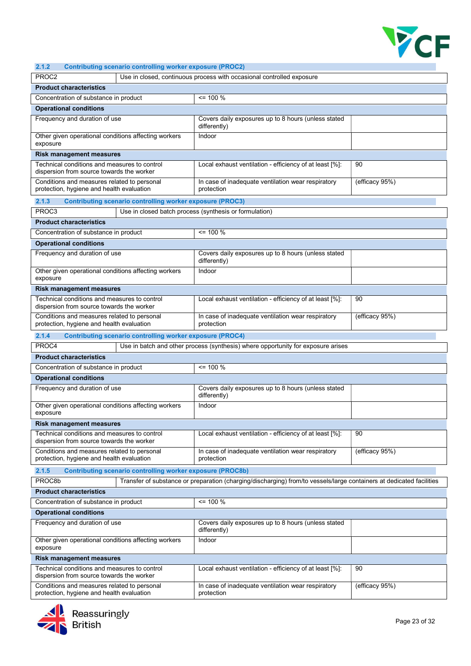

## 2.1.2 Contributing scenario controlling worker exposure (PROC2)

| 4. I.A<br>Continuumy scenario controlling worker exposure (FROGZ)                         |                                                                                                                      |                |
|-------------------------------------------------------------------------------------------|----------------------------------------------------------------------------------------------------------------------|----------------|
| PROC <sub>2</sub>                                                                         | Use in closed, continuous process with occasional controlled exposure                                                |                |
| <b>Product characteristics</b>                                                            |                                                                                                                      |                |
| Concentration of substance in product                                                     | $\le$ 100 %                                                                                                          |                |
| <b>Operational conditions</b>                                                             |                                                                                                                      |                |
| Frequency and duration of use                                                             | Covers daily exposures up to 8 hours (unless stated<br>differently)                                                  |                |
| Other given operational conditions affecting workers<br>exposure                          | Indoor                                                                                                               |                |
| <b>Risk management measures</b>                                                           |                                                                                                                      |                |
| Technical conditions and measures to control                                              | Local exhaust ventilation - efficiency of at least [%]:                                                              | 90             |
| dispersion from source towards the worker                                                 |                                                                                                                      |                |
| Conditions and measures related to personal<br>protection, hygiene and health evaluation  | In case of inadequate ventilation wear respiratory<br>protection                                                     | (efficacy 95%) |
| 2.1.3<br><b>Contributing scenario controlling worker exposure (PROC3)</b>                 |                                                                                                                      |                |
| PROC3                                                                                     | Use in closed batch process (synthesis or formulation)                                                               |                |
| <b>Product characteristics</b>                                                            |                                                                                                                      |                |
| Concentration of substance in product                                                     | $= 100 \%$                                                                                                           |                |
| <b>Operational conditions</b>                                                             |                                                                                                                      |                |
| Frequency and duration of use                                                             | Covers daily exposures up to 8 hours (unless stated<br>differently)                                                  |                |
| Other given operational conditions affecting workers                                      | Indoor                                                                                                               |                |
| exposure                                                                                  |                                                                                                                      |                |
| <b>Risk management measures</b>                                                           |                                                                                                                      |                |
| Technical conditions and measures to control<br>dispersion from source towards the worker | Local exhaust ventilation - efficiency of at least [%]:                                                              | 90             |
| Conditions and measures related to personal<br>protection, hygiene and health evaluation  | In case of inadequate ventilation wear respiratory<br>protection                                                     | (efficacy 95%) |
| 2.1.4<br><b>Contributing scenario controlling worker exposure (PROC4)</b>                 |                                                                                                                      |                |
| PROC4                                                                                     | Use in batch and other process (synthesis) where opportunity for exposure arises                                     |                |
| <b>Product characteristics</b>                                                            |                                                                                                                      |                |
| Concentration of substance in product                                                     | $\le$ 100 %                                                                                                          |                |
| <b>Operational conditions</b>                                                             |                                                                                                                      |                |
| Frequency and duration of use                                                             | Covers daily exposures up to 8 hours (unless stated<br>differently)                                                  |                |
| Other given operational conditions affecting workers<br>exposure                          | Indoor                                                                                                               |                |
| <b>Risk management measures</b>                                                           |                                                                                                                      |                |
| Technical conditions and measures to control<br>dispersion from source towards the worker | Local exhaust ventilation - efficiency of at least [%]:                                                              | 90             |
| Conditions and measures related to personal<br>protection, hygiene and health evaluation  | In case of inadequate ventilation wear respiratory<br>protection                                                     | (efficacy 95%) |
| 2.1.5<br><b>Contributing scenario controlling worker exposure (PROC8b)</b>                |                                                                                                                      |                |
| PROC8b                                                                                    | Transfer of substance or preparation (charging/discharging) from/to vessels/large containers at dedicated facilities |                |
| <b>Product characteristics</b>                                                            |                                                                                                                      |                |
| Concentration of substance in product                                                     | $= 100 \%$                                                                                                           |                |
|                                                                                           |                                                                                                                      |                |
| <b>Operational conditions</b>                                                             |                                                                                                                      |                |
| Frequency and duration of use                                                             | Covers daily exposures up to 8 hours (unless stated<br>differently)                                                  |                |
| Other given operational conditions affecting workers<br>exposure                          | Indoor                                                                                                               |                |
| <b>Risk management measures</b>                                                           |                                                                                                                      |                |
| Technical conditions and measures to control<br>dispersion from source towards the worker | Local exhaust ventilation - efficiency of at least [%]:                                                              | 90             |
| Conditions and measures related to personal<br>protection, hygiene and health evaluation  | In case of inadequate ventilation wear respiratory<br>protection                                                     | (efficacy 95%) |

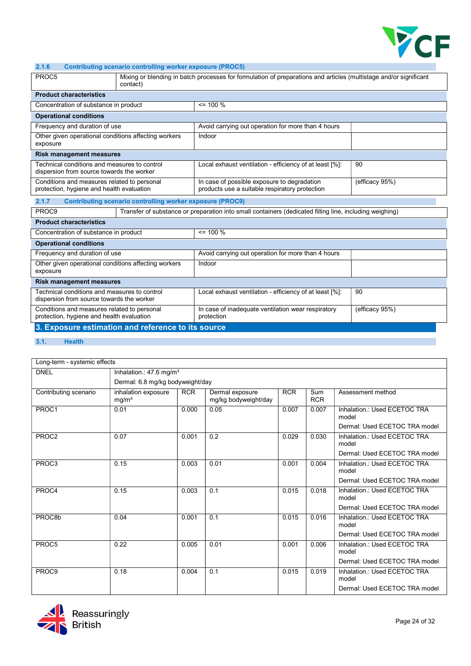

## 2.1.6 Contributing scenario controlling worker exposure (PROC5)

| PROC5                                                                                                                                                      | Mixing or blending in batch processes for formulation of preparations and articles (multistage and/or significant<br>contact) |                                                                                                                 |                |  |  |  |  |  |
|------------------------------------------------------------------------------------------------------------------------------------------------------------|-------------------------------------------------------------------------------------------------------------------------------|-----------------------------------------------------------------------------------------------------------------|----------------|--|--|--|--|--|
| <b>Product characteristics</b>                                                                                                                             |                                                                                                                               |                                                                                                                 |                |  |  |  |  |  |
|                                                                                                                                                            | $= 100 \%$<br>Concentration of substance in product                                                                           |                                                                                                                 |                |  |  |  |  |  |
| <b>Operational conditions</b>                                                                                                                              |                                                                                                                               |                                                                                                                 |                |  |  |  |  |  |
| Frequency and duration of use                                                                                                                              |                                                                                                                               | Avoid carrying out operation for more than 4 hours                                                              |                |  |  |  |  |  |
| Other given operational conditions affecting workers<br>exposure                                                                                           |                                                                                                                               | Indoor                                                                                                          |                |  |  |  |  |  |
| <b>Risk management measures</b>                                                                                                                            |                                                                                                                               |                                                                                                                 |                |  |  |  |  |  |
| Technical conditions and measures to control<br>dispersion from source towards the worker                                                                  |                                                                                                                               | Local exhaust ventilation - efficiency of at least [%]:                                                         | 90             |  |  |  |  |  |
| Conditions and measures related to personal<br>protection, hygiene and health evaluation                                                                   |                                                                                                                               | In case of possible exposure to degradation<br>(efficacy 95%)<br>products use a suitable respiratory protection |                |  |  |  |  |  |
| 2.1.7                                                                                                                                                      | <b>Contributing scenario controlling worker exposure (PROC9)</b>                                                              |                                                                                                                 |                |  |  |  |  |  |
| PROC9                                                                                                                                                      |                                                                                                                               | Transfer of substance or preparation into small containers (dedicated filling line, including weighing)         |                |  |  |  |  |  |
| <b>Product characteristics</b>                                                                                                                             |                                                                                                                               |                                                                                                                 |                |  |  |  |  |  |
| Concentration of substance in product                                                                                                                      |                                                                                                                               | $\leq$ 100 %                                                                                                    |                |  |  |  |  |  |
| <b>Operational conditions</b>                                                                                                                              |                                                                                                                               |                                                                                                                 |                |  |  |  |  |  |
| Frequency and duration of use                                                                                                                              |                                                                                                                               | Avoid carrying out operation for more than 4 hours                                                              |                |  |  |  |  |  |
| Other given operational conditions affecting workers<br>exposure                                                                                           |                                                                                                                               | Indoor                                                                                                          |                |  |  |  |  |  |
| <b>Risk management measures</b>                                                                                                                            |                                                                                                                               |                                                                                                                 |                |  |  |  |  |  |
| Technical conditions and measures to control<br>90<br>Local exhaust ventilation - efficiency of at least [%]:<br>dispersion from source towards the worker |                                                                                                                               |                                                                                                                 |                |  |  |  |  |  |
| Conditions and measures related to personal<br>protection, hygiene and health evaluation                                                                   |                                                                                                                               | In case of inadequate ventilation wear respiratory<br>protection                                                | (efficacy 95%) |  |  |  |  |  |
| 3. Exposure estimation and reference to its source                                                                                                         |                                                                                                                               |                                                                                                                 |                |  |  |  |  |  |

## 3.1. Health

| Long-term - systemic effects |                                          |            |                                         |            |                   |                                       |  |  |
|------------------------------|------------------------------------------|------------|-----------------------------------------|------------|-------------------|---------------------------------------|--|--|
| <b>DNEL</b>                  | Inhalation.: 47.6 mg/m <sup>3</sup>      |            |                                         |            |                   |                                       |  |  |
|                              | Dermal: 6.8 mg/kg bodyweight/day         |            |                                         |            |                   |                                       |  |  |
| Contributing scenario        | inhalation exposure<br>mg/m <sup>3</sup> | <b>RCR</b> | Dermal exposure<br>mg/kg bodyweight/day | <b>RCR</b> | Sum<br><b>RCR</b> | Assessment method                     |  |  |
| PROC1                        | 0.01                                     | 0.000      | 0.05                                    | 0.007      | 0.007             | Inhalation.: Used ECETOC TRA<br>model |  |  |
|                              |                                          |            |                                         |            |                   | Dermal: Used ECETOC TRA model         |  |  |
| PROC <sub>2</sub>            | 0.07                                     | 0.001      | 0.2                                     | 0.029      | 0.030             | Inhalation.: Used ECETOC TRA<br>model |  |  |
|                              |                                          |            |                                         |            |                   | Dermal: Used ECETOC TRA model         |  |  |
| PROC3                        | 0.15                                     | 0.003      | 0.01                                    | 0.001      | 0.004             | Inhalation.: Used ECETOC TRA<br>model |  |  |
|                              |                                          |            |                                         |            |                   | Dermal: Used ECETOC TRA model         |  |  |
| PROC4                        | 0.15                                     | 0.003      | 0.1                                     | 0.015      | 0.018             | Inhalation.: Used ECETOC TRA<br>model |  |  |
|                              |                                          |            |                                         |            |                   | Dermal: Used ECETOC TRA model         |  |  |
| PROC8b                       | 0.04                                     | 0.001      | 0.1                                     | 0.015      | 0.016             | Inhalation.: Used ECETOC TRA<br>model |  |  |
|                              |                                          |            |                                         |            |                   | Dermal: Used ECETOC TRA model         |  |  |
| PROC <sub>5</sub>            | 0.22                                     | 0.005      | 0.01                                    | 0.001      | 0.006             | Inhalation.: Used ECETOC TRA<br>model |  |  |
|                              |                                          |            |                                         |            |                   | Dermal: Used ECETOC TRA model         |  |  |
| PROC <sub>9</sub>            | 0.18                                     | 0.004      | 0.1                                     | 0.015      | 0.019             | Inhalation.: Used ECETOC TRA<br>model |  |  |
|                              |                                          |            |                                         |            |                   | Dermal: Used ECETOC TRA model         |  |  |

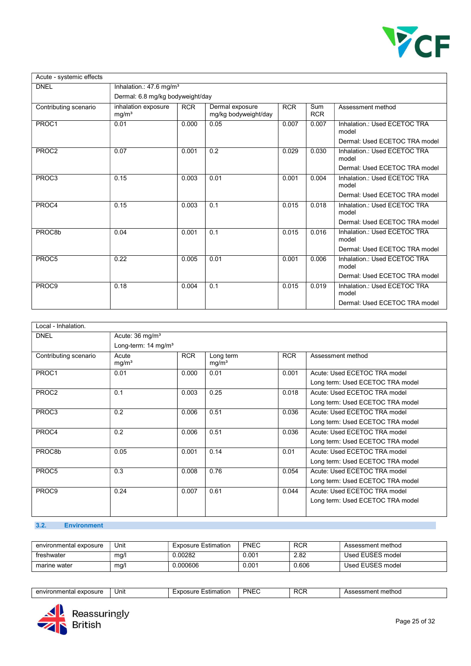

| Acute - systemic effects |                                          |            |                                         |            |                   |                                       |
|--------------------------|------------------------------------------|------------|-----------------------------------------|------------|-------------------|---------------------------------------|
| <b>DNEL</b>              | Inhalation.: 47.6 mg/m <sup>3</sup>      |            |                                         |            |                   |                                       |
|                          | Dermal: 6.8 mg/kg bodyweight/day         |            |                                         |            |                   |                                       |
| Contributing scenario    | inhalation exposure<br>mg/m <sup>3</sup> | <b>RCR</b> | Dermal exposure<br>mg/kg bodyweight/day | <b>RCR</b> | Sum<br><b>RCR</b> | Assessment method                     |
| PROC1                    | 0.01                                     | 0.000      | 0.05                                    | 0.007      | 0.007             | Inhalation.: Used ECETOC TRA<br>model |
|                          |                                          |            |                                         |            |                   | Dermal: Used ECETOC TRA model         |
| PROC <sub>2</sub>        | 0.07                                     | 0.001      | 0.2                                     | 0.029      | 0.030             | Inhalation.: Used ECETOC TRA<br>model |
|                          |                                          |            |                                         |            |                   | Dermal: Used ECETOC TRA model         |
| PROC3                    | 0.15<br>0.003<br>0.01<br>0.001           | 0.004      | Inhalation: Used ECETOC TRA<br>model    |            |                   |                                       |
|                          |                                          |            |                                         |            |                   | Dermal: Used ECETOC TRA model         |
| PROC4                    | 0.15                                     | 0.003      | 0.1                                     | 0.015      | 0.018             | Inhalation.: Used ECETOC TRA<br>model |
|                          |                                          |            |                                         |            |                   | Dermal: Used ECETOC TRA model         |
| PROC8b                   | 0.04                                     | 0.001      | 0.1                                     | 0.015      | 0.016             | Inhalation.: Used ECETOC TRA<br>model |
|                          |                                          |            |                                         |            |                   | Dermal: Used ECETOC TRA model         |
| PROC5                    | 0.22                                     | 0.005      | 0.01                                    | 0.001      | 0.006             | Inhalation.: Used ECETOC TRA<br>model |
|                          |                                          |            |                                         |            |                   | Dermal: Used ECETOC TRA model         |
| PROC <sub>9</sub>        | 0.18                                     | 0.004      | 0.1                                     | 0.015      | 0.019             | Inhalation.: Used ECETOC TRA<br>model |
|                          |                                          |            |                                         |            |                   | Dermal: Used ECETOC TRA model         |

| Local - Inhalation.   |                                                                |            |                                |            |                                                                  |
|-----------------------|----------------------------------------------------------------|------------|--------------------------------|------------|------------------------------------------------------------------|
| <b>DNEL</b>           | Acute: 36 mg/m <sup>3</sup><br>Long-term: 14 mg/m <sup>3</sup> |            |                                |            |                                                                  |
| Contributing scenario | Acute<br>mg/m <sup>3</sup>                                     | <b>RCR</b> | Long term<br>mg/m <sup>3</sup> | <b>RCR</b> | Assessment method                                                |
| PROC1                 | 0.01                                                           | 0.000      | 0.01                           | 0.001      | Acute: Used ECETOC TRA model<br>Long term: Used ECETOC TRA model |
| PROC2                 | 0.1                                                            | 0.003      | 0.25                           | 0.018      | Acute: Used ECETOC TRA model<br>Long term: Used ECETOC TRA model |
| PROC3                 | 0.2                                                            | 0.006      | 0.51                           | 0.036      | Acute: Used ECETOC TRA model<br>Long term: Used ECETOC TRA model |
| PROC4                 | 0.2                                                            | 0.006      | 0.51                           | 0.036      | Acute: Used ECETOC TRA model<br>Long term: Used ECETOC TRA model |
| PROC8b                | 0.05                                                           | 0.001      | 0.14                           | 0.01       | Acute: Used ECETOC TRA model<br>Long term: Used ECETOC TRA model |
| PROC5                 | 0.3                                                            | 0.008      | 0.76                           | 0.054      | Acute: Used ECETOC TRA model<br>Long term: Used ECETOC TRA model |
| PROC9                 | 0.24                                                           | 0.007      | 0.61                           | 0.044      | Acute: Used ECETOC TRA model<br>Long term: Used ECETOC TRA model |

## 3.2. Environment

| environmental exposure | Unit | <b>Exposure Estimation</b> | <b>PNEC</b> | <b>RCR</b> | Assessment method |
|------------------------|------|----------------------------|-------------|------------|-------------------|
| freshwater             | mg/l | .00282                     | 0.001       | 2.82       | Used EUSES model  |
| marine water           | mg/l | 0000606.0                  | 0.001       | 0.606      | Used EUSES model  |

| environmenta.<br>' exposure | Unit | . .<br>:stımatıon<br>osure<br>$\overline{\phantom{a}}$<br>^ '<br>. . | PNEL | <b>RCF</b> | nt method<br>nonmark<br>$n_{\alpha}$<br>5500<br>. |
|-----------------------------|------|----------------------------------------------------------------------|------|------------|---------------------------------------------------|
|                             |      |                                                                      |      |            |                                                   |

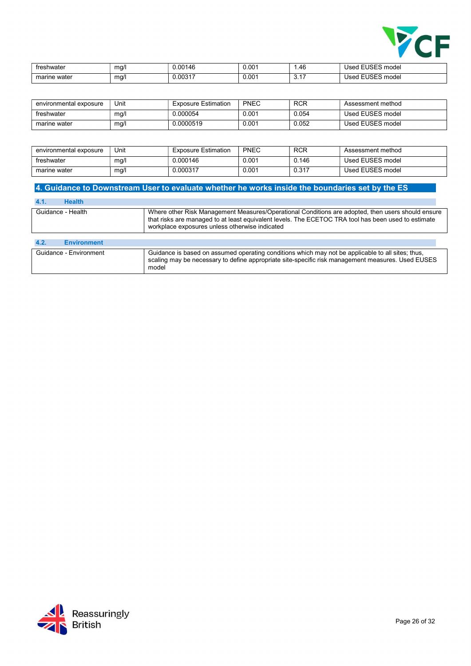

| freshwater   | mq/1<br>$\cdot$ $\cdot$ | 0.00146 | 0.001 | 4F<br>$. + 0$      | Used                  |
|--------------|-------------------------|---------|-------|--------------------|-----------------------|
| marine water | ma/l<br>. .             | 0.00317 | 0.001 | $\sim$ $-$<br>◡. ╷ | . ∟USES model<br>Used |

| environmental exposure | Unit | <b>Exposure Estimation</b> | <b>PNEC</b> | <b>RCR</b> | Assessment method |
|------------------------|------|----------------------------|-------------|------------|-------------------|
| freshwater             | mg/l | .000054 ل                  | 0.001       | 0.054      | Used EUSES model  |
| marine water           | mg/l | J.0000519                  | 0.001       | 0.052      | Used EUSES model  |

| environmental exposure | Unit | <b>Exposure Estimation</b> | PNEC  | <b>RCR</b> | Assessment method |
|------------------------|------|----------------------------|-------|------------|-------------------|
| freshwater             | ma/l | 0.000146                   | 0.001 | 0.146      | Used EUSES model  |
| marine water           | mg/l | Ე.000317                   | 0.001 | 0.317      | Used EUSES model  |

## 4. Guidance to Downstream User to evaluate whether he works inside the boundaries set by the ES

| <b>Health</b><br>4.1.      |                                                                                                                                                                                                                                                            |
|----------------------------|------------------------------------------------------------------------------------------------------------------------------------------------------------------------------------------------------------------------------------------------------------|
| Guidance - Health          | Where other Risk Management Measures/Operational Conditions are adopted, then users should ensure<br>that risks are managed to at least equivalent levels. The ECETOC TRA tool has been used to estimate<br>workplace exposures unless otherwise indicated |
|                            |                                                                                                                                                                                                                                                            |
| 4.2.<br><b>Environment</b> |                                                                                                                                                                                                                                                            |
| Guidance - Environment     | Guidance is based on assumed operating conditions which may not be applicable to all sites; thus,<br>scaling may be necessary to define appropriate site-specific risk management measures. Used EUSES<br>model                                            |

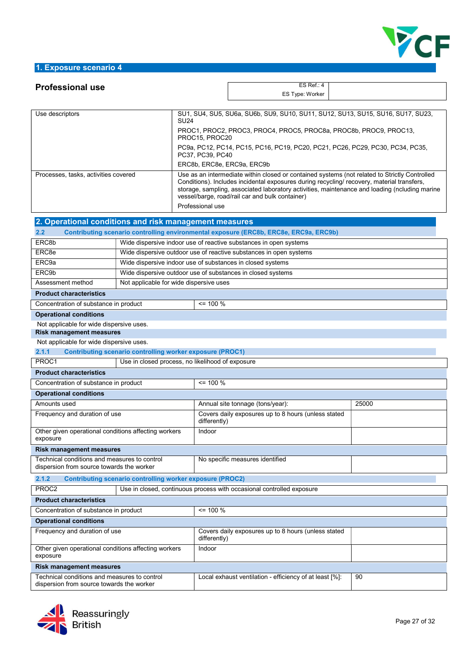

## 1. Exposure scenario 4

| <b>Professional use</b>                                                                   |                                                                  |                                                                                                                                                                                                                                                                                                                                                                     | ES Ref.: $4$                                                                          |       |  |  |
|-------------------------------------------------------------------------------------------|------------------------------------------------------------------|---------------------------------------------------------------------------------------------------------------------------------------------------------------------------------------------------------------------------------------------------------------------------------------------------------------------------------------------------------------------|---------------------------------------------------------------------------------------|-------|--|--|
|                                                                                           |                                                                  |                                                                                                                                                                                                                                                                                                                                                                     | ES Type: Worker                                                                       |       |  |  |
|                                                                                           |                                                                  |                                                                                                                                                                                                                                                                                                                                                                     |                                                                                       |       |  |  |
| Use descriptors                                                                           | <b>SU24</b>                                                      |                                                                                                                                                                                                                                                                                                                                                                     | SU1, SU4, SU5, SU6a, SU6b, SU9, SU10, SU11, SU12, SU13, SU15, SU16, SU17, SU23,       |       |  |  |
|                                                                                           |                                                                  | PROC1, PROC2, PROC3, PROC4, PROC5, PROC8a, PROC8b, PROC9, PROC13,<br>PROC15, PROC20                                                                                                                                                                                                                                                                                 |                                                                                       |       |  |  |
|                                                                                           |                                                                  | PC9a, PC12, PC14, PC15, PC16, PC19, PC20, PC21, PC26, PC29, PC30, PC34, PC35,<br>PC37, PC39, PC40                                                                                                                                                                                                                                                                   |                                                                                       |       |  |  |
|                                                                                           |                                                                  | ERC8b, ERC8e, ERC9a, ERC9b                                                                                                                                                                                                                                                                                                                                          |                                                                                       |       |  |  |
| Processes, tasks, activities covered                                                      |                                                                  | Use as an intermediate within closed or contained systems (not related to Strictly Controlled<br>Conditions). Includes incidental exposures during recycling/ recovery, material transfers,<br>storage, sampling, associated laboratory activities, maintenance and loading (ncluding marine<br>vessel/barge, road/rail car and bulk container)<br>Professional use |                                                                                       |       |  |  |
| 2. Operational conditions and risk management measures                                    |                                                                  |                                                                                                                                                                                                                                                                                                                                                                     |                                                                                       |       |  |  |
| 2.2                                                                                       |                                                                  |                                                                                                                                                                                                                                                                                                                                                                     | Contributing scenario controlling environmental exposure (ERC8b, ERC8e, ERC9a, ERC9b) |       |  |  |
| ERC8b                                                                                     |                                                                  |                                                                                                                                                                                                                                                                                                                                                                     | Wide dispersive indoor use of reactive substances in open systems                     |       |  |  |
| ERC <sub>8e</sub>                                                                         |                                                                  |                                                                                                                                                                                                                                                                                                                                                                     | Wide dispersive outdoor use of reactive substances in open systems                    |       |  |  |
| ERC <sub>9a</sub>                                                                         |                                                                  |                                                                                                                                                                                                                                                                                                                                                                     |                                                                                       |       |  |  |
|                                                                                           | Wide dispersive indoor use of substances in closed systems       |                                                                                                                                                                                                                                                                                                                                                                     |                                                                                       |       |  |  |
| ERC9b                                                                                     | Wide dispersive outdoor use of substances in closed systems      |                                                                                                                                                                                                                                                                                                                                                                     |                                                                                       |       |  |  |
| Assessment method                                                                         | Not applicable for wide dispersive uses                          |                                                                                                                                                                                                                                                                                                                                                                     |                                                                                       |       |  |  |
| <b>Product characteristics</b>                                                            |                                                                  |                                                                                                                                                                                                                                                                                                                                                                     |                                                                                       |       |  |  |
| Concentration of substance in product                                                     |                                                                  | $= 100 \%$                                                                                                                                                                                                                                                                                                                                                          |                                                                                       |       |  |  |
| <b>Operational conditions</b>                                                             |                                                                  |                                                                                                                                                                                                                                                                                                                                                                     |                                                                                       |       |  |  |
| Not applicable for wide dispersive uses.                                                  |                                                                  |                                                                                                                                                                                                                                                                                                                                                                     |                                                                                       |       |  |  |
| <b>Risk management measures</b>                                                           |                                                                  |                                                                                                                                                                                                                                                                                                                                                                     |                                                                                       |       |  |  |
| Not applicable for wide dispersive uses.                                                  |                                                                  |                                                                                                                                                                                                                                                                                                                                                                     |                                                                                       |       |  |  |
| 2.1.1<br>PROC1                                                                            | <b>Contributing scenario controlling worker exposure (PROC1)</b> |                                                                                                                                                                                                                                                                                                                                                                     |                                                                                       |       |  |  |
|                                                                                           | Use in closed process, no likelihood of exposure                 |                                                                                                                                                                                                                                                                                                                                                                     |                                                                                       |       |  |  |
| <b>Product characteristics</b>                                                            |                                                                  |                                                                                                                                                                                                                                                                                                                                                                     |                                                                                       |       |  |  |
| Concentration of substance in product                                                     |                                                                  | $= 100 \%$                                                                                                                                                                                                                                                                                                                                                          |                                                                                       |       |  |  |
| <b>Operational conditions</b>                                                             |                                                                  |                                                                                                                                                                                                                                                                                                                                                                     |                                                                                       |       |  |  |
| Amounts used                                                                              |                                                                  |                                                                                                                                                                                                                                                                                                                                                                     | Annual site tonnage (tons/year):                                                      | 25000 |  |  |
| Frequency and duration of use                                                             |                                                                  | differently)                                                                                                                                                                                                                                                                                                                                                        | Covers daily exposures up to 8 hours (unless stated                                   |       |  |  |
| Other given operational conditions affecting workers<br>exposure                          |                                                                  | Indoor                                                                                                                                                                                                                                                                                                                                                              |                                                                                       |       |  |  |
| <b>Risk management measures</b>                                                           |                                                                  |                                                                                                                                                                                                                                                                                                                                                                     |                                                                                       |       |  |  |
| Technical conditions and measures to control<br>dispersion from source towards the worker |                                                                  |                                                                                                                                                                                                                                                                                                                                                                     | No specific measures identified                                                       |       |  |  |
| 2.1.2                                                                                     | <b>Contributing scenario controlling worker exposure (PROC2)</b> |                                                                                                                                                                                                                                                                                                                                                                     |                                                                                       |       |  |  |
| PROC2                                                                                     |                                                                  |                                                                                                                                                                                                                                                                                                                                                                     | Use in closed, continuous process with occasional controlled exposure                 |       |  |  |
| <b>Product characteristics</b>                                                            |                                                                  |                                                                                                                                                                                                                                                                                                                                                                     |                                                                                       |       |  |  |
| Concentration of substance in product                                                     |                                                                  | $= 100 \%$                                                                                                                                                                                                                                                                                                                                                          |                                                                                       |       |  |  |
| <b>Operational conditions</b>                                                             |                                                                  |                                                                                                                                                                                                                                                                                                                                                                     |                                                                                       |       |  |  |
| Frequency and duration of use                                                             |                                                                  | differently)                                                                                                                                                                                                                                                                                                                                                        | Covers daily exposures up to 8 hours (unless stated                                   |       |  |  |
| Other given operational conditions affecting workers<br>exposure                          |                                                                  | Indoor                                                                                                                                                                                                                                                                                                                                                              |                                                                                       |       |  |  |
| <b>Risk management measures</b>                                                           |                                                                  |                                                                                                                                                                                                                                                                                                                                                                     |                                                                                       |       |  |  |
| Technical conditions and measures to control                                              |                                                                  |                                                                                                                                                                                                                                                                                                                                                                     | Local exhaust ventilation - efficiency of at least [%]:                               | 90    |  |  |
|                                                                                           |                                                                  |                                                                                                                                                                                                                                                                                                                                                                     |                                                                                       |       |  |  |



dispersion from source towards the worker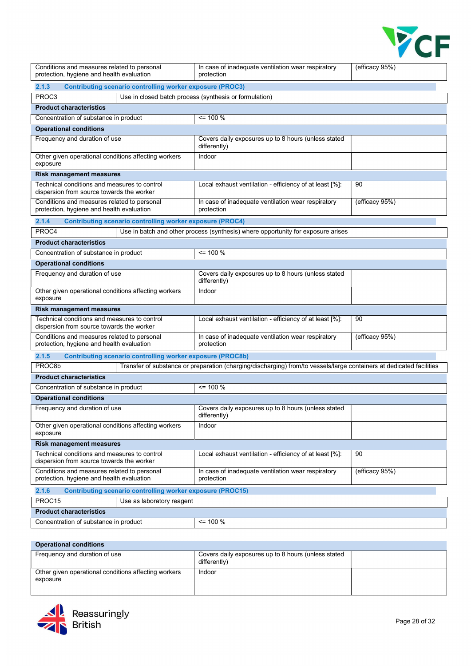

| Conditions and measures related to personal<br>protection, hygiene and health evaluation  |                                                                   | In case of inadequate ventilation wear respiratory<br>protection                                                     | (efficacy 95%) |  |  |  |
|-------------------------------------------------------------------------------------------|-------------------------------------------------------------------|----------------------------------------------------------------------------------------------------------------------|----------------|--|--|--|
| 2.1.3                                                                                     | <b>Contributing scenario controlling worker exposure (PROC3)</b>  |                                                                                                                      |                |  |  |  |
| PROC3                                                                                     |                                                                   | Use in closed batch process (synthesis or formulation)                                                               |                |  |  |  |
| <b>Product characteristics</b>                                                            |                                                                   |                                                                                                                      |                |  |  |  |
| Concentration of substance in product                                                     |                                                                   | $= 100 %$                                                                                                            |                |  |  |  |
| <b>Operational conditions</b>                                                             |                                                                   |                                                                                                                      |                |  |  |  |
| Frequency and duration of use                                                             |                                                                   | Covers daily exposures up to 8 hours (unless stated<br>differently)                                                  |                |  |  |  |
| Other given operational conditions affecting workers<br>exposure                          |                                                                   | Indoor                                                                                                               |                |  |  |  |
| <b>Risk management measures</b>                                                           |                                                                   |                                                                                                                      |                |  |  |  |
| Technical conditions and measures to control<br>dispersion from source towards the worker |                                                                   | Local exhaust ventilation - efficiency of at least [%]:                                                              | 90             |  |  |  |
| Conditions and measures related to personal<br>protection, hygiene and health evaluation  |                                                                   | In case of inadequate ventilation wear respiratory<br>protection                                                     | (efficacy 95%) |  |  |  |
| 2.1.4                                                                                     | <b>Contributing scenario controlling worker exposure (PROC4)</b>  |                                                                                                                      |                |  |  |  |
| PROC4<br>Use in batch and other process (synthesis) where opportunity for exposure arises |                                                                   |                                                                                                                      |                |  |  |  |
| <b>Product characteristics</b>                                                            |                                                                   |                                                                                                                      |                |  |  |  |
| Concentration of substance in product                                                     |                                                                   | $= 100 %$                                                                                                            |                |  |  |  |
| <b>Operational conditions</b>                                                             |                                                                   |                                                                                                                      |                |  |  |  |
| Frequency and duration of use                                                             |                                                                   | Covers daily exposures up to 8 hours (unless stated<br>differently)                                                  |                |  |  |  |
| Other given operational conditions affecting workers<br>exposure                          |                                                                   | Indoor                                                                                                               |                |  |  |  |
| <b>Risk management measures</b>                                                           |                                                                   |                                                                                                                      |                |  |  |  |
| Technical conditions and measures to control<br>dispersion from source towards the worker |                                                                   | Local exhaust ventilation - efficiency of at least [%]:                                                              | 90             |  |  |  |
| Conditions and measures related to personal<br>protection, hygiene and health evaluation  |                                                                   | In case of inadequate ventilation wear respiratory<br>protection                                                     | (efficacy 95%) |  |  |  |
| 2.1.5                                                                                     | <b>Contributing scenario controlling worker exposure (PROC8b)</b> |                                                                                                                      |                |  |  |  |
| PROC8b                                                                                    |                                                                   | Transfer of substance or preparation (charging/discharging) from/to vessels/large containers at dedicated facilities |                |  |  |  |
| <b>Product characteristics</b>                                                            |                                                                   |                                                                                                                      |                |  |  |  |
| Concentration of substance in product                                                     |                                                                   | $= 100 %$                                                                                                            |                |  |  |  |
| <b>Operational conditions</b>                                                             |                                                                   |                                                                                                                      |                |  |  |  |
| Frequency and duration of use                                                             |                                                                   | Covers daily exposures up to 8 hours (unless stated<br>differently)                                                  |                |  |  |  |
| Other given operational conditions affecting workers<br>exposure                          |                                                                   | Indoor                                                                                                               |                |  |  |  |
| <b>Risk management measures</b>                                                           |                                                                   |                                                                                                                      |                |  |  |  |
| Technical conditions and measures to control<br>dispersion from source towards the worker |                                                                   | Local exhaust ventilation - efficiency of at least [%]:                                                              | 90             |  |  |  |
| Conditions and measures related to personal<br>protection, hygiene and health evaluation  |                                                                   | In case of inadequate ventilation wear respiratory<br>protection                                                     | (efficacy 95%) |  |  |  |
| 2.1.6                                                                                     | <b>Contributing scenario controlling worker exposure (PROC15)</b> |                                                                                                                      |                |  |  |  |
| PROC15                                                                                    | Use as laboratory reagent                                         |                                                                                                                      |                |  |  |  |
| <b>Product characteristics</b>                                                            |                                                                   |                                                                                                                      |                |  |  |  |
| Concentration of substance in product                                                     |                                                                   | $= 100 \%$                                                                                                           |                |  |  |  |
|                                                                                           |                                                                   |                                                                                                                      |                |  |  |  |

#### Operational conditions Frequency and duration of use Covers daily exposures up to 8 hours (unless stated differently)

| i Tudduriov dina dardiion of doc                                 | OUTCIUS GAILY CAPOBULGU AP TO LIGGIUS TUITICUS STATCU<br>differently) |  |
|------------------------------------------------------------------|-----------------------------------------------------------------------|--|
| Other given operational conditions affecting workers<br>exposure | Indoor                                                                |  |
|                                                                  |                                                                       |  |

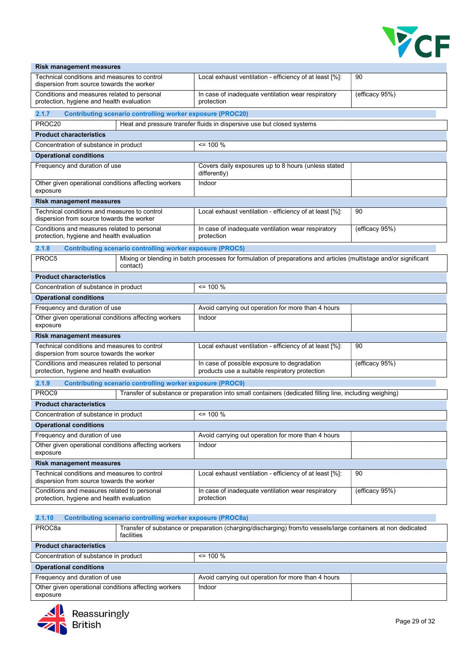

| Technical conditions and measures to control<br>Local exhaust ventilation - efficiency of at least [%]:<br>90<br>dispersion from source towards the worker<br>(efficacy 95%)<br>Conditions and measures related to personal<br>In case of inadequate ventilation wear respiratory<br>protection, hygiene and health evaluation<br>protection<br>2.1.7<br><b>Contributing scenario controlling worker exposure (PROC20)</b><br>PROC20<br>Heat and pressure transfer fluids in dispersive use but closed systems<br><b>Product characteristics</b><br>$= 100 %$<br>Concentration of substance in product<br><b>Operational conditions</b><br>Frequency and duration of use<br>Covers daily exposures up to 8 hours (unless stated<br>differently)<br>Other given operational conditions affecting workers<br>Indoor<br>exposure<br><b>Risk management measures</b><br>Technical conditions and measures to control<br>Local exhaust ventilation - efficiency of at least [%]:<br>90<br>dispersion from source towards the worker<br>(efficacy 95%)<br>Conditions and measures related to personal<br>In case of inadequate ventilation wear respiratory<br>protection, hygiene and health evaluation<br>protection<br>2.1.8<br><b>Contributing scenario controlling worker exposure (PROC5)</b><br>Mixing or blending in batch processes for formulation of preparations and articles (multistage and/or significant<br>PROC <sub>5</sub><br>contact)<br><b>Product characteristics</b><br>$\leq$ 100 %<br>Concentration of substance in product<br><b>Operational conditions</b><br>Frequency and duration of use<br>Avoid carrying out operation for more than 4 hours<br>Other given operational conditions affecting workers<br>Indoor<br>exposure<br><b>Risk management measures</b><br>Technical conditions and measures to control<br>Local exhaust ventilation - efficiency of at least [%]:<br>90<br>dispersion from source towards the worker<br>Conditions and measures related to personal<br>In case of possible exposure to degradation<br>(efficacy $95\%$ )<br>protection, hygiene and health evaluation<br>products use a suitable respiratory protection<br>2.1.9<br><b>Contributing scenario controlling worker exposure (PROC9)</b><br>PROC9<br>Transfer of substance or preparation into small containers (dedicated filling line, including weighing)<br><b>Product characteristics</b><br>Concentration of substance in product<br>$\leq$ 100 %<br><b>Operational conditions</b><br>Frequency and duration of use<br>Avoid carrying out operation for more than 4 hours | <b>Risk management measures</b>                      |  |  |  |  |
|----------------------------------------------------------------------------------------------------------------------------------------------------------------------------------------------------------------------------------------------------------------------------------------------------------------------------------------------------------------------------------------------------------------------------------------------------------------------------------------------------------------------------------------------------------------------------------------------------------------------------------------------------------------------------------------------------------------------------------------------------------------------------------------------------------------------------------------------------------------------------------------------------------------------------------------------------------------------------------------------------------------------------------------------------------------------------------------------------------------------------------------------------------------------------------------------------------------------------------------------------------------------------------------------------------------------------------------------------------------------------------------------------------------------------------------------------------------------------------------------------------------------------------------------------------------------------------------------------------------------------------------------------------------------------------------------------------------------------------------------------------------------------------------------------------------------------------------------------------------------------------------------------------------------------------------------------------------------------------------------------------------------------------------------------------------------------------------------------------------------------------------------------------------------------------------------------------------------------------------------------------------------------------------------------------------------------------------------------------------------------------------------------------------------------------------------------------------------------------------------------------------------------------------------------------------------------------------------|------------------------------------------------------|--|--|--|--|
|                                                                                                                                                                                                                                                                                                                                                                                                                                                                                                                                                                                                                                                                                                                                                                                                                                                                                                                                                                                                                                                                                                                                                                                                                                                                                                                                                                                                                                                                                                                                                                                                                                                                                                                                                                                                                                                                                                                                                                                                                                                                                                                                                                                                                                                                                                                                                                                                                                                                                                                                                                                              |                                                      |  |  |  |  |
|                                                                                                                                                                                                                                                                                                                                                                                                                                                                                                                                                                                                                                                                                                                                                                                                                                                                                                                                                                                                                                                                                                                                                                                                                                                                                                                                                                                                                                                                                                                                                                                                                                                                                                                                                                                                                                                                                                                                                                                                                                                                                                                                                                                                                                                                                                                                                                                                                                                                                                                                                                                              |                                                      |  |  |  |  |
|                                                                                                                                                                                                                                                                                                                                                                                                                                                                                                                                                                                                                                                                                                                                                                                                                                                                                                                                                                                                                                                                                                                                                                                                                                                                                                                                                                                                                                                                                                                                                                                                                                                                                                                                                                                                                                                                                                                                                                                                                                                                                                                                                                                                                                                                                                                                                                                                                                                                                                                                                                                              |                                                      |  |  |  |  |
|                                                                                                                                                                                                                                                                                                                                                                                                                                                                                                                                                                                                                                                                                                                                                                                                                                                                                                                                                                                                                                                                                                                                                                                                                                                                                                                                                                                                                                                                                                                                                                                                                                                                                                                                                                                                                                                                                                                                                                                                                                                                                                                                                                                                                                                                                                                                                                                                                                                                                                                                                                                              |                                                      |  |  |  |  |
|                                                                                                                                                                                                                                                                                                                                                                                                                                                                                                                                                                                                                                                                                                                                                                                                                                                                                                                                                                                                                                                                                                                                                                                                                                                                                                                                                                                                                                                                                                                                                                                                                                                                                                                                                                                                                                                                                                                                                                                                                                                                                                                                                                                                                                                                                                                                                                                                                                                                                                                                                                                              |                                                      |  |  |  |  |
|                                                                                                                                                                                                                                                                                                                                                                                                                                                                                                                                                                                                                                                                                                                                                                                                                                                                                                                                                                                                                                                                                                                                                                                                                                                                                                                                                                                                                                                                                                                                                                                                                                                                                                                                                                                                                                                                                                                                                                                                                                                                                                                                                                                                                                                                                                                                                                                                                                                                                                                                                                                              |                                                      |  |  |  |  |
|                                                                                                                                                                                                                                                                                                                                                                                                                                                                                                                                                                                                                                                                                                                                                                                                                                                                                                                                                                                                                                                                                                                                                                                                                                                                                                                                                                                                                                                                                                                                                                                                                                                                                                                                                                                                                                                                                                                                                                                                                                                                                                                                                                                                                                                                                                                                                                                                                                                                                                                                                                                              |                                                      |  |  |  |  |
|                                                                                                                                                                                                                                                                                                                                                                                                                                                                                                                                                                                                                                                                                                                                                                                                                                                                                                                                                                                                                                                                                                                                                                                                                                                                                                                                                                                                                                                                                                                                                                                                                                                                                                                                                                                                                                                                                                                                                                                                                                                                                                                                                                                                                                                                                                                                                                                                                                                                                                                                                                                              |                                                      |  |  |  |  |
|                                                                                                                                                                                                                                                                                                                                                                                                                                                                                                                                                                                                                                                                                                                                                                                                                                                                                                                                                                                                                                                                                                                                                                                                                                                                                                                                                                                                                                                                                                                                                                                                                                                                                                                                                                                                                                                                                                                                                                                                                                                                                                                                                                                                                                                                                                                                                                                                                                                                                                                                                                                              |                                                      |  |  |  |  |
|                                                                                                                                                                                                                                                                                                                                                                                                                                                                                                                                                                                                                                                                                                                                                                                                                                                                                                                                                                                                                                                                                                                                                                                                                                                                                                                                                                                                                                                                                                                                                                                                                                                                                                                                                                                                                                                                                                                                                                                                                                                                                                                                                                                                                                                                                                                                                                                                                                                                                                                                                                                              |                                                      |  |  |  |  |
|                                                                                                                                                                                                                                                                                                                                                                                                                                                                                                                                                                                                                                                                                                                                                                                                                                                                                                                                                                                                                                                                                                                                                                                                                                                                                                                                                                                                                                                                                                                                                                                                                                                                                                                                                                                                                                                                                                                                                                                                                                                                                                                                                                                                                                                                                                                                                                                                                                                                                                                                                                                              |                                                      |  |  |  |  |
|                                                                                                                                                                                                                                                                                                                                                                                                                                                                                                                                                                                                                                                                                                                                                                                                                                                                                                                                                                                                                                                                                                                                                                                                                                                                                                                                                                                                                                                                                                                                                                                                                                                                                                                                                                                                                                                                                                                                                                                                                                                                                                                                                                                                                                                                                                                                                                                                                                                                                                                                                                                              |                                                      |  |  |  |  |
|                                                                                                                                                                                                                                                                                                                                                                                                                                                                                                                                                                                                                                                                                                                                                                                                                                                                                                                                                                                                                                                                                                                                                                                                                                                                                                                                                                                                                                                                                                                                                                                                                                                                                                                                                                                                                                                                                                                                                                                                                                                                                                                                                                                                                                                                                                                                                                                                                                                                                                                                                                                              |                                                      |  |  |  |  |
|                                                                                                                                                                                                                                                                                                                                                                                                                                                                                                                                                                                                                                                                                                                                                                                                                                                                                                                                                                                                                                                                                                                                                                                                                                                                                                                                                                                                                                                                                                                                                                                                                                                                                                                                                                                                                                                                                                                                                                                                                                                                                                                                                                                                                                                                                                                                                                                                                                                                                                                                                                                              |                                                      |  |  |  |  |
|                                                                                                                                                                                                                                                                                                                                                                                                                                                                                                                                                                                                                                                                                                                                                                                                                                                                                                                                                                                                                                                                                                                                                                                                                                                                                                                                                                                                                                                                                                                                                                                                                                                                                                                                                                                                                                                                                                                                                                                                                                                                                                                                                                                                                                                                                                                                                                                                                                                                                                                                                                                              |                                                      |  |  |  |  |
|                                                                                                                                                                                                                                                                                                                                                                                                                                                                                                                                                                                                                                                                                                                                                                                                                                                                                                                                                                                                                                                                                                                                                                                                                                                                                                                                                                                                                                                                                                                                                                                                                                                                                                                                                                                                                                                                                                                                                                                                                                                                                                                                                                                                                                                                                                                                                                                                                                                                                                                                                                                              |                                                      |  |  |  |  |
|                                                                                                                                                                                                                                                                                                                                                                                                                                                                                                                                                                                                                                                                                                                                                                                                                                                                                                                                                                                                                                                                                                                                                                                                                                                                                                                                                                                                                                                                                                                                                                                                                                                                                                                                                                                                                                                                                                                                                                                                                                                                                                                                                                                                                                                                                                                                                                                                                                                                                                                                                                                              |                                                      |  |  |  |  |
|                                                                                                                                                                                                                                                                                                                                                                                                                                                                                                                                                                                                                                                                                                                                                                                                                                                                                                                                                                                                                                                                                                                                                                                                                                                                                                                                                                                                                                                                                                                                                                                                                                                                                                                                                                                                                                                                                                                                                                                                                                                                                                                                                                                                                                                                                                                                                                                                                                                                                                                                                                                              |                                                      |  |  |  |  |
|                                                                                                                                                                                                                                                                                                                                                                                                                                                                                                                                                                                                                                                                                                                                                                                                                                                                                                                                                                                                                                                                                                                                                                                                                                                                                                                                                                                                                                                                                                                                                                                                                                                                                                                                                                                                                                                                                                                                                                                                                                                                                                                                                                                                                                                                                                                                                                                                                                                                                                                                                                                              |                                                      |  |  |  |  |
|                                                                                                                                                                                                                                                                                                                                                                                                                                                                                                                                                                                                                                                                                                                                                                                                                                                                                                                                                                                                                                                                                                                                                                                                                                                                                                                                                                                                                                                                                                                                                                                                                                                                                                                                                                                                                                                                                                                                                                                                                                                                                                                                                                                                                                                                                                                                                                                                                                                                                                                                                                                              |                                                      |  |  |  |  |
|                                                                                                                                                                                                                                                                                                                                                                                                                                                                                                                                                                                                                                                                                                                                                                                                                                                                                                                                                                                                                                                                                                                                                                                                                                                                                                                                                                                                                                                                                                                                                                                                                                                                                                                                                                                                                                                                                                                                                                                                                                                                                                                                                                                                                                                                                                                                                                                                                                                                                                                                                                                              |                                                      |  |  |  |  |
|                                                                                                                                                                                                                                                                                                                                                                                                                                                                                                                                                                                                                                                                                                                                                                                                                                                                                                                                                                                                                                                                                                                                                                                                                                                                                                                                                                                                                                                                                                                                                                                                                                                                                                                                                                                                                                                                                                                                                                                                                                                                                                                                                                                                                                                                                                                                                                                                                                                                                                                                                                                              |                                                      |  |  |  |  |
|                                                                                                                                                                                                                                                                                                                                                                                                                                                                                                                                                                                                                                                                                                                                                                                                                                                                                                                                                                                                                                                                                                                                                                                                                                                                                                                                                                                                                                                                                                                                                                                                                                                                                                                                                                                                                                                                                                                                                                                                                                                                                                                                                                                                                                                                                                                                                                                                                                                                                                                                                                                              |                                                      |  |  |  |  |
|                                                                                                                                                                                                                                                                                                                                                                                                                                                                                                                                                                                                                                                                                                                                                                                                                                                                                                                                                                                                                                                                                                                                                                                                                                                                                                                                                                                                                                                                                                                                                                                                                                                                                                                                                                                                                                                                                                                                                                                                                                                                                                                                                                                                                                                                                                                                                                                                                                                                                                                                                                                              |                                                      |  |  |  |  |
|                                                                                                                                                                                                                                                                                                                                                                                                                                                                                                                                                                                                                                                                                                                                                                                                                                                                                                                                                                                                                                                                                                                                                                                                                                                                                                                                                                                                                                                                                                                                                                                                                                                                                                                                                                                                                                                                                                                                                                                                                                                                                                                                                                                                                                                                                                                                                                                                                                                                                                                                                                                              |                                                      |  |  |  |  |
|                                                                                                                                                                                                                                                                                                                                                                                                                                                                                                                                                                                                                                                                                                                                                                                                                                                                                                                                                                                                                                                                                                                                                                                                                                                                                                                                                                                                                                                                                                                                                                                                                                                                                                                                                                                                                                                                                                                                                                                                                                                                                                                                                                                                                                                                                                                                                                                                                                                                                                                                                                                              |                                                      |  |  |  |  |
|                                                                                                                                                                                                                                                                                                                                                                                                                                                                                                                                                                                                                                                                                                                                                                                                                                                                                                                                                                                                                                                                                                                                                                                                                                                                                                                                                                                                                                                                                                                                                                                                                                                                                                                                                                                                                                                                                                                                                                                                                                                                                                                                                                                                                                                                                                                                                                                                                                                                                                                                                                                              |                                                      |  |  |  |  |
|                                                                                                                                                                                                                                                                                                                                                                                                                                                                                                                                                                                                                                                                                                                                                                                                                                                                                                                                                                                                                                                                                                                                                                                                                                                                                                                                                                                                                                                                                                                                                                                                                                                                                                                                                                                                                                                                                                                                                                                                                                                                                                                                                                                                                                                                                                                                                                                                                                                                                                                                                                                              |                                                      |  |  |  |  |
| Indoor<br>exposure                                                                                                                                                                                                                                                                                                                                                                                                                                                                                                                                                                                                                                                                                                                                                                                                                                                                                                                                                                                                                                                                                                                                                                                                                                                                                                                                                                                                                                                                                                                                                                                                                                                                                                                                                                                                                                                                                                                                                                                                                                                                                                                                                                                                                                                                                                                                                                                                                                                                                                                                                                           | Other given operational conditions affecting workers |  |  |  |  |
| <b>Risk management measures</b>                                                                                                                                                                                                                                                                                                                                                                                                                                                                                                                                                                                                                                                                                                                                                                                                                                                                                                                                                                                                                                                                                                                                                                                                                                                                                                                                                                                                                                                                                                                                                                                                                                                                                                                                                                                                                                                                                                                                                                                                                                                                                                                                                                                                                                                                                                                                                                                                                                                                                                                                                              |                                                      |  |  |  |  |
| Technical conditions and measures to control<br>Local exhaust ventilation - efficiency of at least [%]:<br>90<br>dispersion from source towards the worker                                                                                                                                                                                                                                                                                                                                                                                                                                                                                                                                                                                                                                                                                                                                                                                                                                                                                                                                                                                                                                                                                                                                                                                                                                                                                                                                                                                                                                                                                                                                                                                                                                                                                                                                                                                                                                                                                                                                                                                                                                                                                                                                                                                                                                                                                                                                                                                                                                   |                                                      |  |  |  |  |
| Conditions and measures related to personal<br>In case of inadequate ventilation wear respiratory<br>(efficacy 95%)<br>protection, hygiene and health evaluation<br>protection                                                                                                                                                                                                                                                                                                                                                                                                                                                                                                                                                                                                                                                                                                                                                                                                                                                                                                                                                                                                                                                                                                                                                                                                                                                                                                                                                                                                                                                                                                                                                                                                                                                                                                                                                                                                                                                                                                                                                                                                                                                                                                                                                                                                                                                                                                                                                                                                               |                                                      |  |  |  |  |

| 2.1.10                                                           | <b>Contributing scenario controlling worker exposure (PROC8a)</b>                                                           |                                                    |  |  |
|------------------------------------------------------------------|-----------------------------------------------------------------------------------------------------------------------------|----------------------------------------------------|--|--|
| PROC <sub>8a</sub>                                               | Transfer of substance or preparation (charging/discharging) from/to vessels/large containers at non dedicated<br>facilities |                                                    |  |  |
| <b>Product characteristics</b>                                   |                                                                                                                             |                                                    |  |  |
| Concentration of substance in product                            |                                                                                                                             | $\leq$ 100 %                                       |  |  |
| <b>Operational conditions</b>                                    |                                                                                                                             |                                                    |  |  |
| Frequency and duration of use                                    |                                                                                                                             | Avoid carrying out operation for more than 4 hours |  |  |
| Other given operational conditions affecting workers<br>exposure |                                                                                                                             | Indoor                                             |  |  |

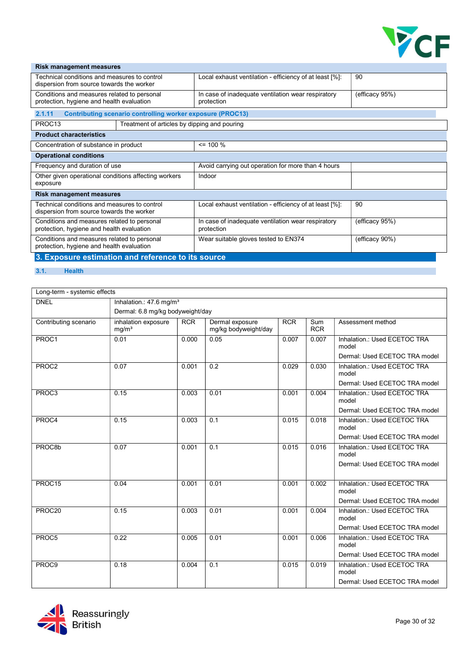

| <b>Risk management measures</b>                                                           |                                                                   |                                                                  |                |  |  |  |
|-------------------------------------------------------------------------------------------|-------------------------------------------------------------------|------------------------------------------------------------------|----------------|--|--|--|
| Technical conditions and measures to control<br>dispersion from source towards the worker |                                                                   | Local exhaust ventilation - efficiency of at least [%]:          | 90             |  |  |  |
| Conditions and measures related to personal<br>protection, hygiene and health evaluation  |                                                                   | In case of inadequate ventilation wear respiratory<br>protection | (efficacy 95%) |  |  |  |
| 2.1.11                                                                                    | <b>Contributing scenario controlling worker exposure (PROC13)</b> |                                                                  |                |  |  |  |
| PROC <sub>13</sub>                                                                        | Treatment of articles by dipping and pouring                      |                                                                  |                |  |  |  |
| <b>Product characteristics</b>                                                            |                                                                   |                                                                  |                |  |  |  |
| Concentration of substance in product                                                     |                                                                   | $\leq$ 100 %                                                     |                |  |  |  |
| <b>Operational conditions</b>                                                             |                                                                   |                                                                  |                |  |  |  |
| Frequency and duration of use                                                             |                                                                   | Avoid carrying out operation for more than 4 hours               |                |  |  |  |
| Other given operational conditions affecting workers<br>exposure                          |                                                                   | Indoor                                                           |                |  |  |  |
| <b>Risk management measures</b>                                                           |                                                                   |                                                                  |                |  |  |  |
| Technical conditions and measures to control<br>dispersion from source towards the worker |                                                                   | Local exhaust ventilation - efficiency of at least [%]:          | 90             |  |  |  |
| Conditions and measures related to personal<br>protection, hygiene and health evaluation  |                                                                   | In case of inadequate ventilation wear respiratory<br>protection | (efficacy 95%) |  |  |  |
| Conditions and measures related to personal<br>protection, hygiene and health evaluation  |                                                                   | Wear suitable gloves tested to EN374                             | (efficacy 90%) |  |  |  |

3. Exposure estimation and reference to its source

#### 3.1. Health

| Long-term - systemic effects |                                          |            |                                         |            |                   |                                       |  |
|------------------------------|------------------------------------------|------------|-----------------------------------------|------------|-------------------|---------------------------------------|--|
| <b>DNEL</b>                  | Inhalation.: 47.6 mg/m <sup>3</sup>      |            |                                         |            |                   |                                       |  |
|                              | Dermal: 6.8 mg/kg bodyweight/day         |            |                                         |            |                   |                                       |  |
| Contributing scenario        | inhalation exposure<br>mg/m <sup>3</sup> | <b>RCR</b> | Dermal exposure<br>mg/kg bodyweight/day | <b>RCR</b> | Sum<br><b>RCR</b> | Assessment method                     |  |
| PROC1                        | 0.01                                     | 0.000      | 0.05                                    | 0.007      | 0.007             | Inhalation.: Used ECETOC TRA<br>model |  |
|                              |                                          |            |                                         |            |                   | Dermal: Used ECETOC TRA model         |  |
| PROC2                        | 0.07                                     | 0.001      | 0.2                                     | 0.029      | 0.030             | Inhalation.: Used ECETOC TRA<br>model |  |
|                              |                                          |            |                                         |            |                   | Dermal: Used ECETOC TRA model         |  |
| PROC3                        | 0.15                                     | 0.003      | 0.01                                    | 0.001      | 0.004             | Inhalation.: Used ECETOC TRA<br>model |  |
|                              |                                          |            |                                         |            |                   | Dermal: Used ECETOC TRA model         |  |
| PROC4                        | 0.15                                     | 0.003      | 0.1                                     | 0.015      | 0.018             | Inhalation.: Used ECETOC TRA<br>model |  |
|                              |                                          |            |                                         |            |                   | Dermal: Used ECETOC TRA model         |  |
| PROC8b                       | 0.07                                     | 0.001      | 0.1                                     | 0.015      | 0.016             | Inhalation.: Used ECETOC TRA<br>model |  |
|                              |                                          |            |                                         |            |                   | Dermal: Used ECETOC TRA model         |  |
| PROC15                       | 0.04                                     | 0.001      | 0.01                                    | 0.001      | 0.002             | Inhalation.: Used ECETOC TRA<br>model |  |
|                              |                                          |            |                                         |            |                   | Dermal: Used ECETOC TRA model         |  |
| PROC <sub>20</sub>           | 0.15                                     | 0.003      | $0.\overline{01}$                       | 0.001      | 0.004             | Inhalation.: Used ECETOC TRA<br>model |  |
|                              |                                          |            |                                         |            |                   | Dermal: Used ECETOC TRA model         |  |
| PROC5                        | 0.22                                     | 0.005      | 0.01                                    | 0.001      | 0.006             | Inhalation.: Used ECETOC TRA<br>model |  |
|                              |                                          |            |                                         |            |                   | Dermal: Used ECETOC TRA model         |  |
| PROC <sub>9</sub>            | 0.18                                     | 0.004      | 0.1                                     | 0.015      | 0.019             | Inhalation.: Used ECETOC TRA<br>model |  |
|                              |                                          |            |                                         |            |                   | Dermal: Used ECETOC TRA model         |  |

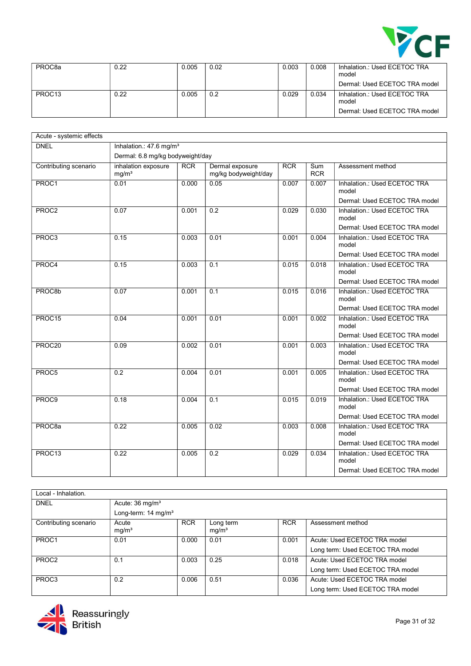

| PROC <sub>8</sub> a | 0.22 | 0.005 | 0.02 | 0.003 | 0.008 | Inhalation.: Used ECETOC TRA<br>model |
|---------------------|------|-------|------|-------|-------|---------------------------------------|
|                     |      |       |      |       |       | Dermal: Used ECETOC TRA model         |
| PROC <sub>13</sub>  | 0.22 | 0.005 | 0.2  | 0.029 | 0.034 | Inhalation.: Used ECETOC TRA<br>model |
|                     |      |       |      |       |       | Dermal: Used ECETOC TRA model         |

| Acute - systemic effects |                                          |            |                                         |            |                          |                                       |
|--------------------------|------------------------------------------|------------|-----------------------------------------|------------|--------------------------|---------------------------------------|
| <b>DNEL</b>              | Inhalation.: 47.6 mg/m <sup>3</sup>      |            |                                         |            |                          |                                       |
|                          | Dermal: 6.8 mg/kg bodyweight/day         |            |                                         |            |                          |                                       |
| Contributing scenario    | inhalation exposure<br>mg/m <sup>3</sup> | <b>RCR</b> | Dermal exposure<br>mg/kg bodyweight/day | <b>RCR</b> | <b>Sum</b><br><b>RCR</b> | Assessment method                     |
| PROC1                    | 0.01                                     | 0.000      | 0.05                                    | 0.007      | 0.007                    | Inhalation.: Used ECETOC TRA<br>model |
|                          |                                          |            |                                         |            |                          | Dermal: Used ECETOC TRA model         |
| PROC2                    | 0.07                                     | 0.001      | $\overline{0.2}$                        | 0.029      | 0.030                    | Inhalation.: Used ECETOC TRA<br>model |
|                          |                                          |            |                                         |            |                          | Dermal: Used ECETOC TRA model         |
| PROC3                    | 0.15                                     | 0.003      | 0.01                                    | 0.001      | 0.004                    | Inhalation.: Used ECETOC TRA<br>model |
|                          |                                          |            |                                         |            |                          | Dermal: Used ECETOC TRA model         |
| PROC4                    | 0.15                                     | 0.003      | 0.1                                     | 0.015      | 0.018                    | Inhalation.: Used ECETOC TRA<br>model |
|                          |                                          |            |                                         |            |                          | Dermal: Used ECETOC TRA model         |
| PROC8b                   | 0.07                                     | 0.001      | 0.1                                     | 0.015      | 0.016                    | Inhalation.: Used ECETOC TRA<br>model |
|                          |                                          |            |                                         |            |                          | Dermal: Used ECETOC TRA model         |
| PROC15                   | 0.04                                     | 0.001      | 0.01                                    | 0.001      | 0.002                    | Inhalation.: Used ECETOC TRA<br>model |
|                          |                                          |            |                                         |            |                          | Dermal: Used ECETOC TRA model         |
| PROC20                   | 0.09                                     | 0.002      | 0.01                                    | 0.001      | 0.003                    | Inhalation.: Used ECETOC TRA<br>model |
|                          |                                          |            |                                         |            |                          | Dermal: Used ECETOC TRA model         |
| PROC5                    | 0.2                                      | 0.004      | 0.01                                    | 0.001      | 0.005                    | Inhalation.: Used ECETOC TRA<br>model |
|                          |                                          |            |                                         |            |                          | Dermal: Used ECETOC TRA model         |
| PROC9                    | 0.18                                     | 0.004      | 0.1                                     | 0.015      | 0.019                    | Inhalation.: Used ECETOC TRA<br>model |
|                          |                                          |            |                                         |            |                          | Dermal: Used ECETOC TRA model         |
| PROC <sub>8a</sub>       | 0.22                                     | 0.005      | 0.02                                    | 0.003      | 0.008                    | Inhalation.: Used ECETOC TRA<br>model |
|                          |                                          |            |                                         |            |                          | Dermal: Used ECETOC TRA model         |
| PROC13                   | 0.22                                     | 0.005      | 0.2                                     | 0.029      | 0.034                    | Inhalation.: Used ECETOC TRA<br>model |
|                          |                                          |            |                                         |            |                          | Dermal: Used ECETOC TRA model         |

| Local - Inhalation.   |                                 |            |                                |            |                                  |  |
|-----------------------|---------------------------------|------------|--------------------------------|------------|----------------------------------|--|
| <b>DNEL</b>           | Acute: $36 \text{ mg/m}^3$      |            |                                |            |                                  |  |
|                       | Long-term: 14 mg/m <sup>3</sup> |            |                                |            |                                  |  |
| Contributing scenario | Acute<br>mg/m <sup>3</sup>      | <b>RCR</b> | Long term<br>mg/m <sup>3</sup> | <b>RCR</b> | Assessment method                |  |
| PROC1                 | 0.01                            | 0.000      | 0.01                           | 0.001      | Acute: Used ECETOC TRA model     |  |
|                       |                                 |            |                                |            | Long term: Used ECETOC TRA model |  |
| PROC <sub>2</sub>     | 0.1                             | 0.003      | 0.25                           | 0.018      | Acute: Used ECETOC TRA model     |  |
|                       |                                 |            |                                |            | Long term: Used ECETOC TRA model |  |
| PROC3                 | 0.2                             | 0.006      | 0.51                           | 0.036      | Acute: Used ECETOC TRA model     |  |
|                       |                                 |            |                                |            | Long term: Used ECETOC TRA model |  |